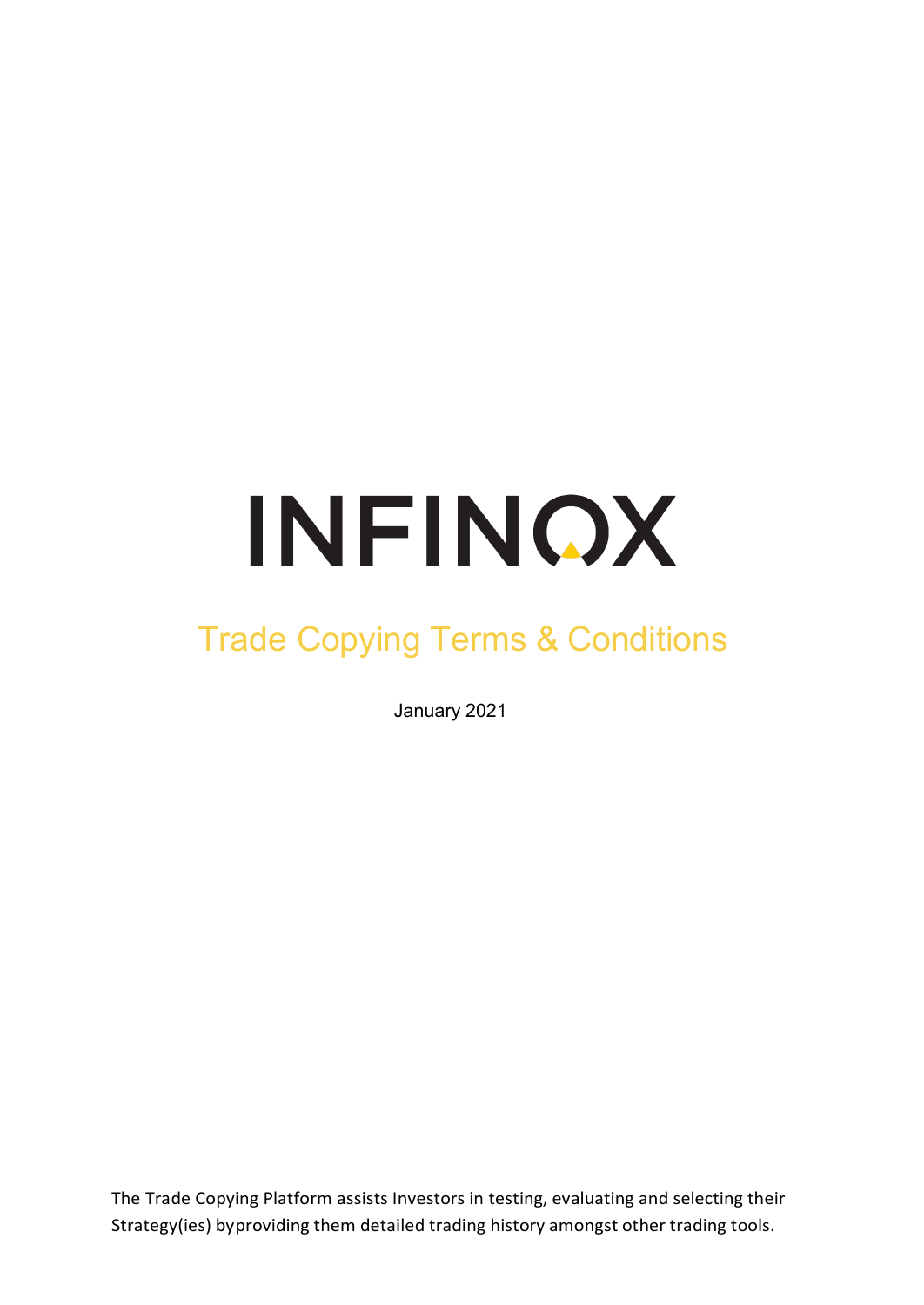# INFINOX

# Trade Copying Terms & Conditions

January 2021

The Trade Copying Platform assists Investors in testing, evaluating and selecting their Strategy(ies) byproviding them detailed trading history amongst other trading tools.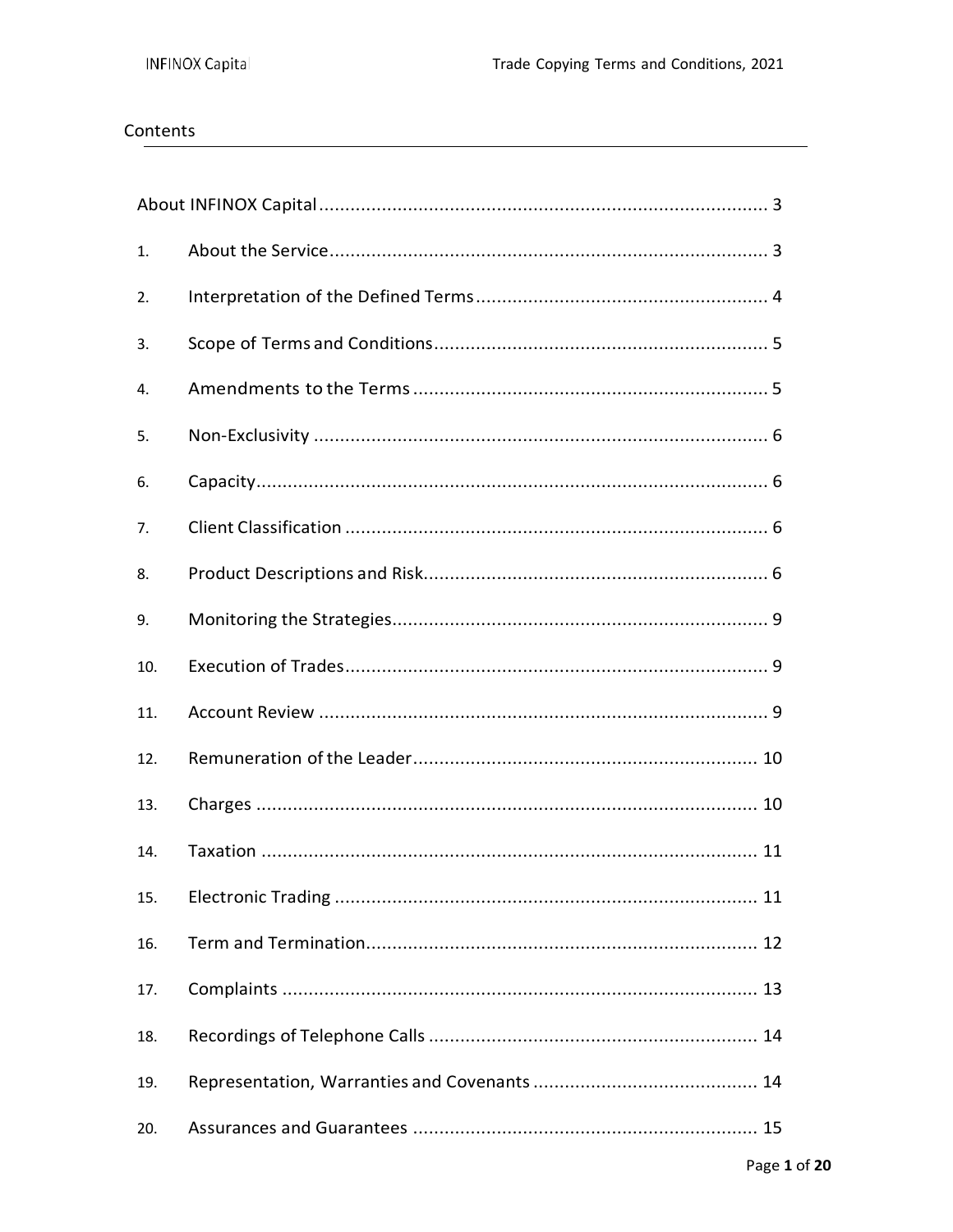# Contents

| 1.  |  |
|-----|--|
| 2.  |  |
| 3.  |  |
| 4.  |  |
| 5.  |  |
| 6.  |  |
| 7.  |  |
| 8.  |  |
| 9.  |  |
| 10. |  |
| 11. |  |
| 12. |  |
| 13. |  |
| 14. |  |
| 15. |  |
| 16. |  |
| 17. |  |
| 18. |  |
| 19. |  |
| 20. |  |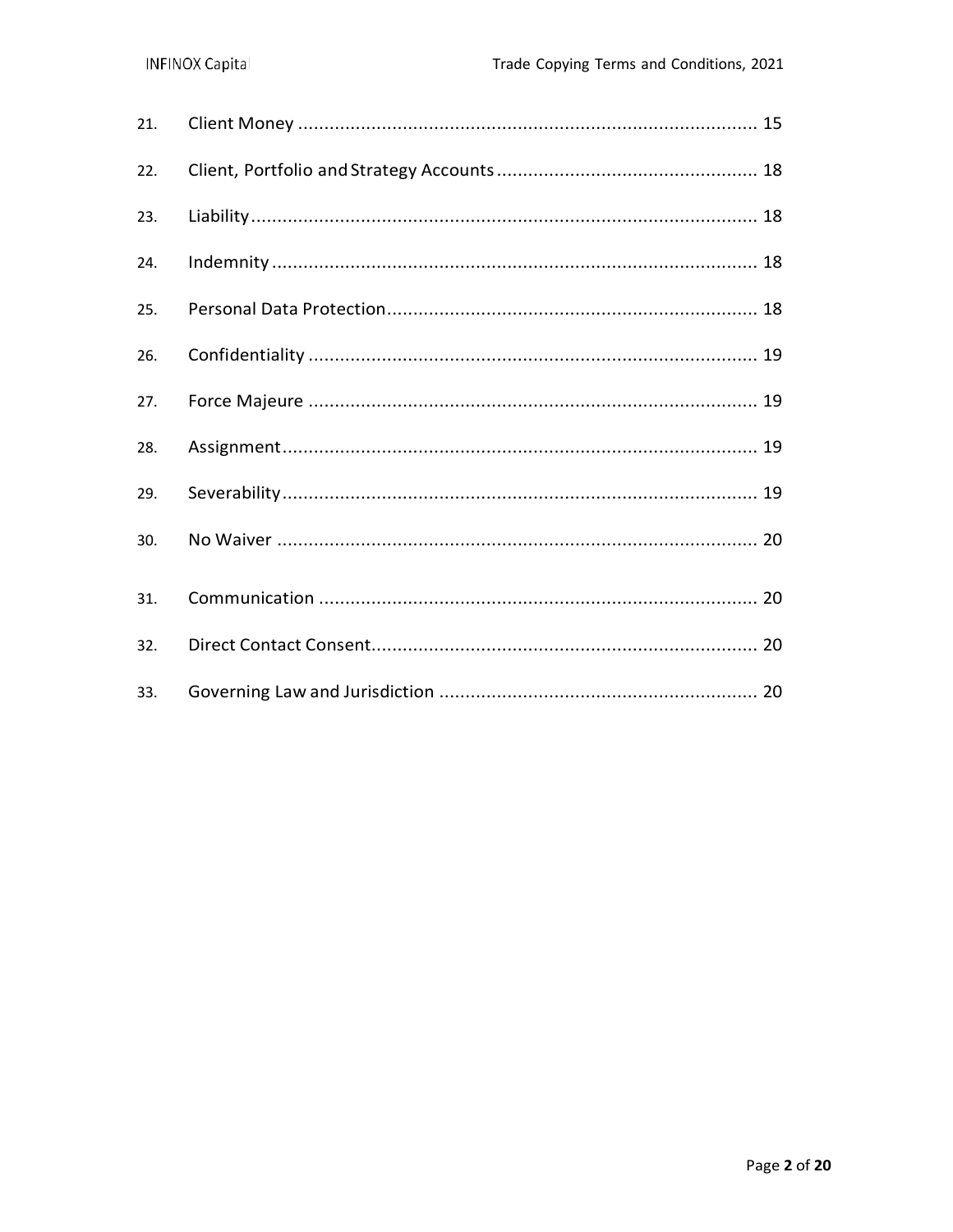| 21. |  |
|-----|--|
| 22. |  |
| 23. |  |
| 24. |  |
| 25. |  |
| 26. |  |
| 27. |  |
| 28. |  |
| 29. |  |
| 30. |  |
| 31. |  |
| 32. |  |
| 33. |  |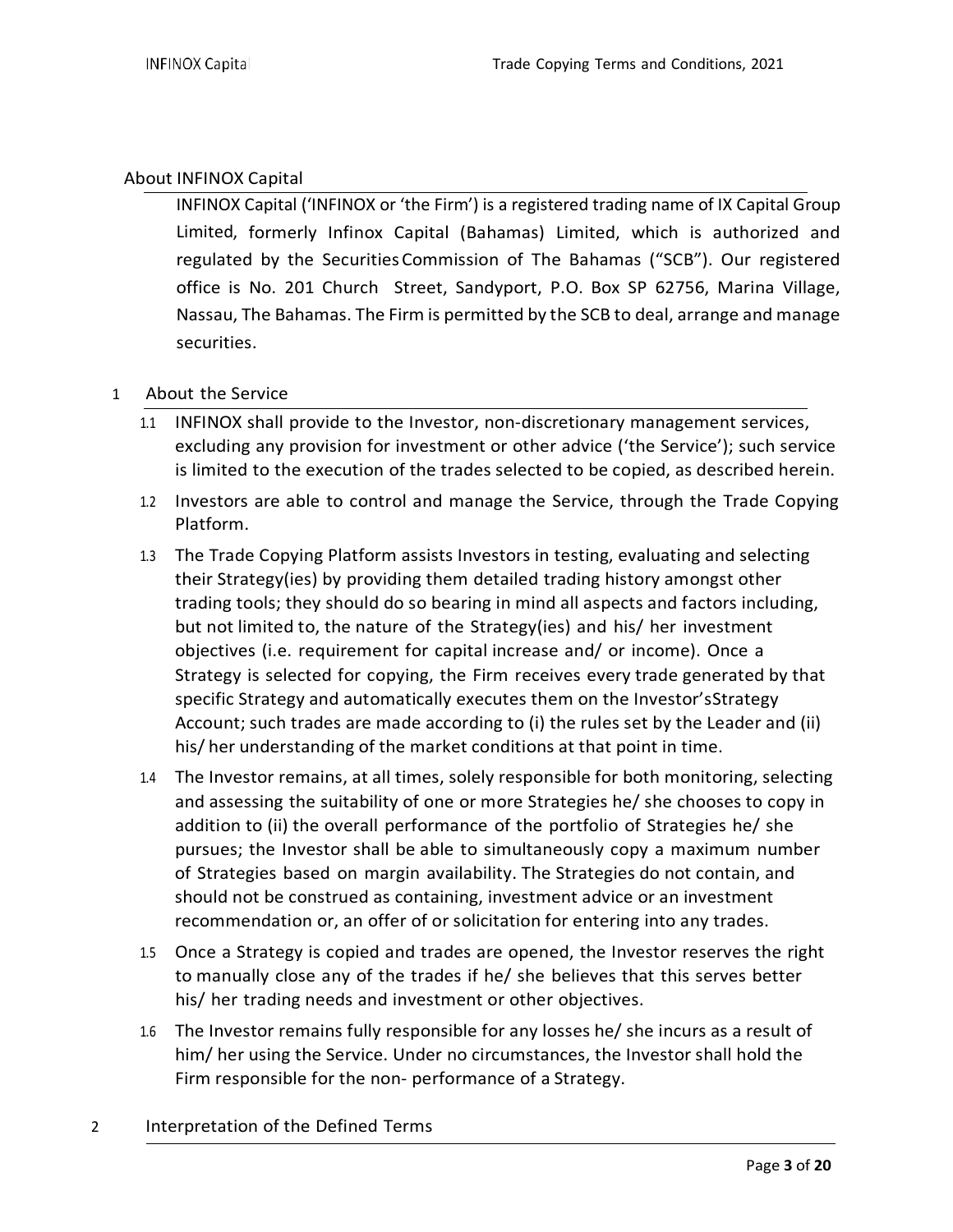### About INFINOX Capital

INFINOX Capital ('INFINOX or 'the Firm') is a registered trading name of IX Capital Group Limited, formerly Infinox Capital (Bahamas) Limited, which is authorized and regulated by the SecuritiesCommission of The Bahamas ("SCB"). Our registered office is No. 201 Church Street, Sandyport, P.O. Box SP 62756, Marina Village, Nassau, The Bahamas. The Firm is permitted by the SCB to deal, arrange and manage securities.

### 1 About the Service

- 1.1 INFINOX shall provide to the Investor, non-discretionary management services, excluding any provision for investment or other advice ('the Service'); such service is limited to the execution of the trades selected to be copied, as described herein.
- 1.2 Investors are able to control and manage the Service, through the Trade Copying Platform.
- 1.3 The Trade Copying Platform assists Investors in testing, evaluating and selecting their Strategy(ies) by providing them detailed trading history amongst other trading tools; they should do so bearing in mind all aspects and factors including, but not limited to, the nature of the Strategy(ies) and his/ her investment objectives (i.e. requirement for capital increase and/ or income). Once a Strategy is selected for copying, the Firm receives every trade generated by that specific Strategy and automatically executes them on the Investor'sStrategy Account; such trades are made according to (i) the rules set by the Leader and (ii) his/ her understanding of the market conditions at that point in time.
- 1.4 The Investor remains, at all times, solely responsible for both monitoring, selecting and assessing the suitability of one or more Strategies he/ she chooses to copy in addition to (ii) the overall performance of the portfolio of Strategies he/ she pursues; the Investor shall be able to simultaneously copy a maximum number of Strategies based on margin availability. The Strategies do not contain, and should not be construed as containing, investment advice or an investment recommendation or, an offer of or solicitation for entering into any trades.
- 1.5 Once a Strategy is copied and trades are opened, the Investor reserves the right to manually close any of the trades if he/ she believes that this serves better his/ her trading needs and investment or other objectives.
- 1.6 The Investor remains fully responsible for any losses he/ she incurs as a result of him/ her using the Service. Under no circumstances, the Investor shall hold the Firm responsible for the non- performance of a Strategy.
- 2 Interpretation of the Defined Terms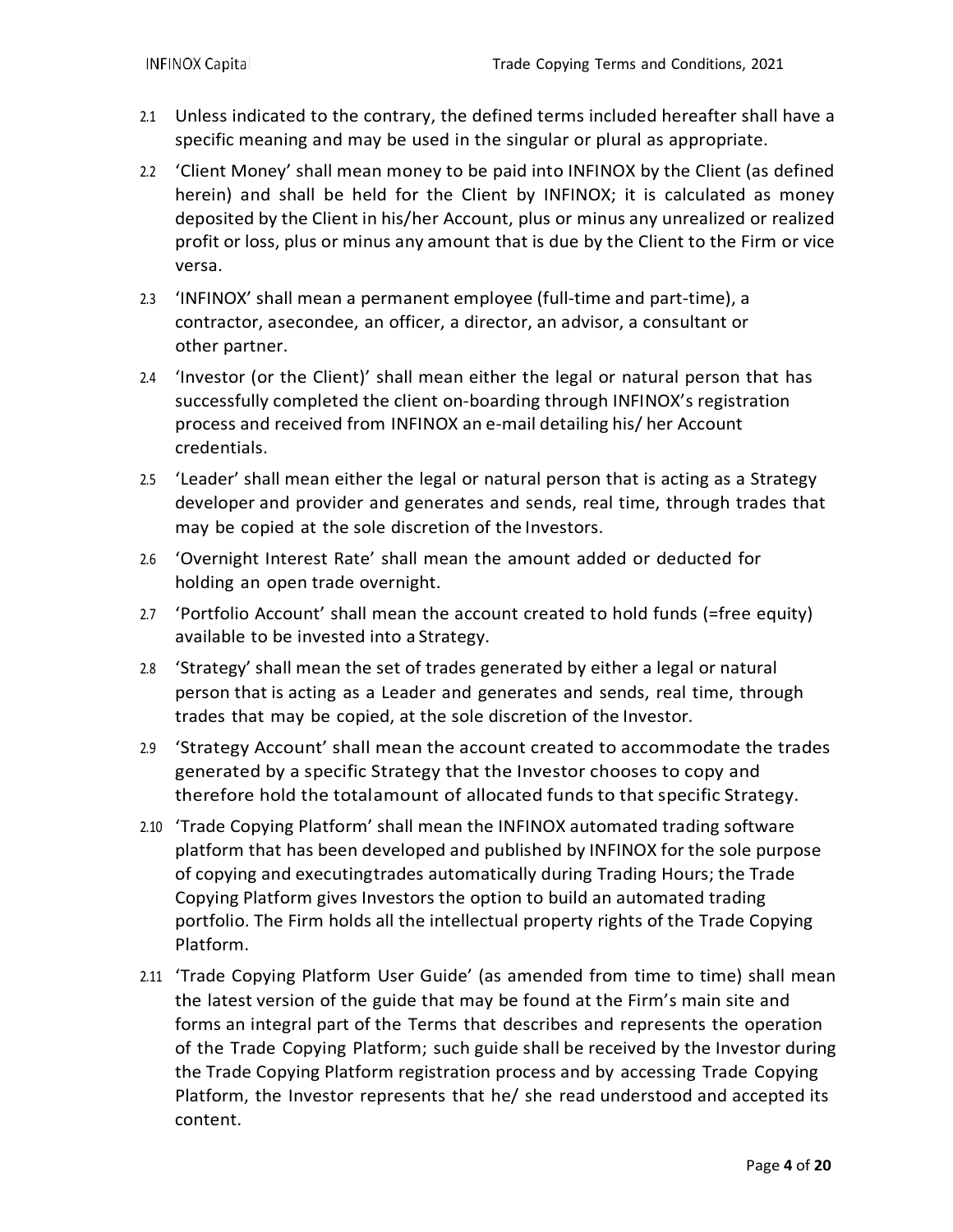- 2.1 Unless indicated to the contrary, the defined terms included hereafter shall have a specific meaning and may be used in the singular or plural as appropriate.
- 2.2 'Client Money' shall mean money to be paid into INFINOX by the Client (as defined herein) and shall be held for the Client by INFINOX; it is calculated as money deposited by the Client in his/her Account, plus or minus any unrealized or realized profit or loss, plus or minus any amount that is due by the Client to the Firm or vice versa.
- 2.3 'INFINOX' shall mean a permanent employee (full-time and part-time), a contractor, asecondee, an officer, a director, an advisor, a consultant or other partner.
- 2.4 'Investor (or the Client)' shall mean either the legal or natural person that has successfully completed the client on-boarding through INFINOX's registration process and received from INFINOX an e-mail detailing his/ her Account credentials.
- 2.5 'Leader' shall mean either the legal or natural person that is acting as a Strategy developer and provider and generates and sends, real time, through trades that may be copied at the sole discretion of the Investors.
- 2.6 'Overnight Interest Rate' shall mean the amount added or deducted for holding an open trade overnight.
- 2.7 'Portfolio Account' shall mean the account created to hold funds (=free equity) available to be invested into a Strategy.
- 2.8 'Strategy' shall mean the set of trades generated by either a legal or natural person that is acting as a Leader and generates and sends, real time, through trades that may be copied, at the sole discretion of the Investor.
- 2.9 'Strategy Account' shall mean the account created to accommodate the trades generated by a specific Strategy that the Investor chooses to copy and therefore hold the totalamount of allocated funds to that specific Strategy.
- 2.10 'Trade Copying Platform' shall mean the INFINOX automated trading software platform that has been developed and published by INFINOX for the sole purpose of copying and executingtrades automatically during Trading Hours; the Trade Copying Platform gives Investors the option to build an automated trading portfolio. The Firm holds all the intellectual property rights of the Trade Copying Platform.
- 2.11 'Trade Copying Platform User Guide' (as amended from time to time) shall mean the latest version of the guide that may be found at the Firm's main site and forms an integral part of the Terms that describes and represents the operation of the Trade Copying Platform; such guide shall be received by the Investor during the Trade Copying Platform registration process and by accessing Trade Copying Platform, the Investor represents that he/ she read understood and accepted its content.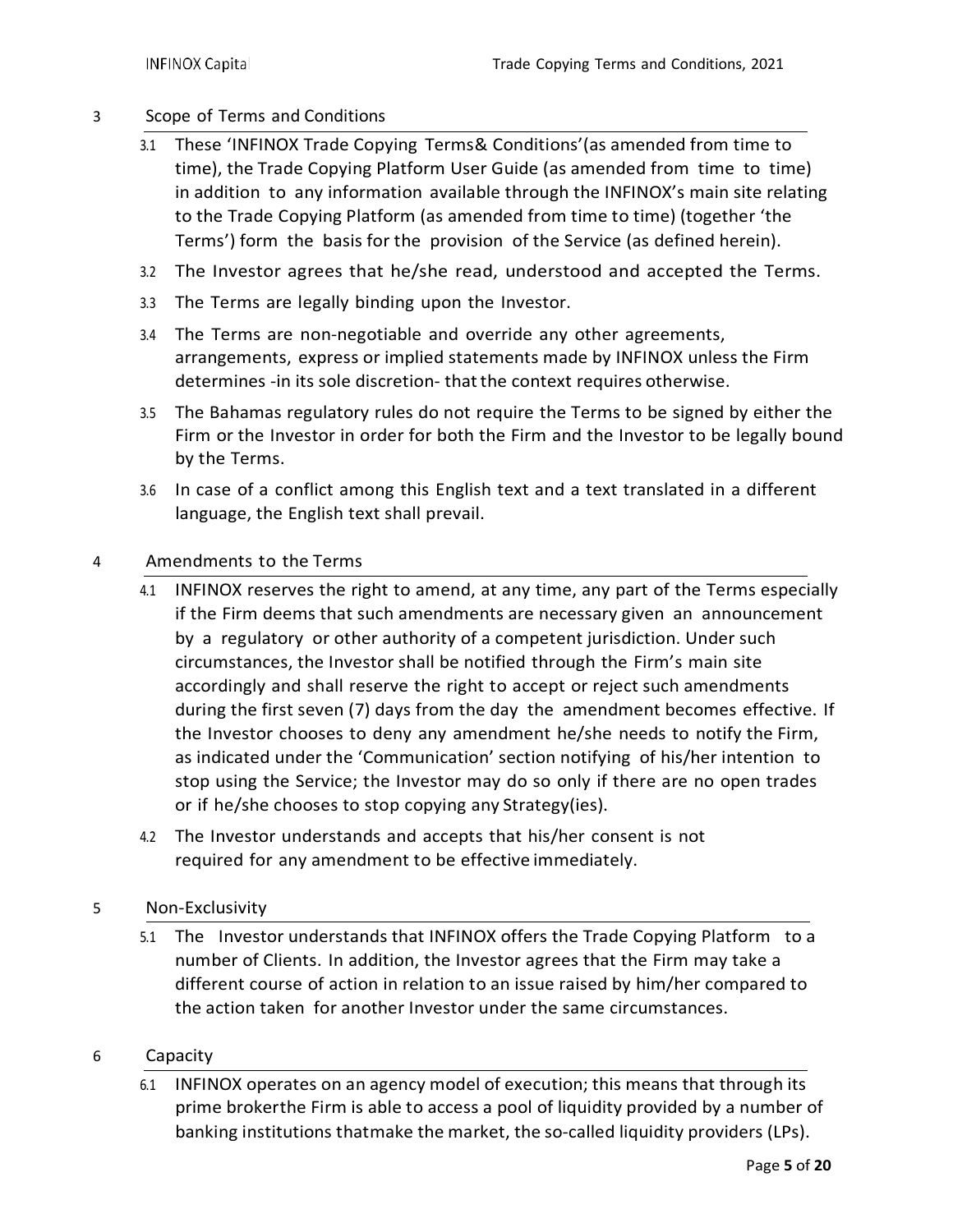#### 3 Scope of Terms and Conditions

- 3.1 These 'INFINOX Trade Copying Terms& Conditions'(as amended from time to time), the Trade Copying Platform User Guide (as amended from time to time) in addition to any information available through the INFINOX's main site relating to the Trade Copying Platform (as amended from time to time) (together 'the Terms') form the basis for the provision of the Service (as defined herein).
- 3.2 The Investor agrees that he/she read, understood and accepted the Terms.
- 3.3 The Terms are legally binding upon the Investor.
- 3.4 The Terms are non-negotiable and override any other agreements, arrangements, express or implied statements made by INFINOX unless the Firm determines -in its sole discretion- thatthe context requires otherwise.
- 3.5 The Bahamas regulatory rules do not require the Terms to be signed by either the Firm or the Investor in order for both the Firm and the Investor to be legally bound by the Terms.
- 3.6 In case of a conflict among this English text and a text translated in a different language, the English text shall prevail.

#### 4 Amendments to the Terms

- 4.1 INFINOX reserves the right to amend, at any time, any part of the Terms especially if the Firm deems that such amendments are necessary given an announcement by a regulatory or other authority of a competent jurisdiction. Under such circumstances, the Investor shall be notified through the Firm's main site accordingly and shall reserve the right to accept or reject such amendments during the first seven (7) days from the day the amendment becomes effective. If the Investor chooses to deny any amendment he/she needs to notify the Firm, as indicated under the 'Communication' section notifying of his/her intention to stop using the Service; the Investor may do so only if there are no open trades or if he/she chooses to stop copying any Strategy(ies).
- 4.2 The Investor understands and accepts that his/her consent is not required for any amendment to be effective immediately.

#### 5 Non-Exclusivity

5.1 The Investor understands that INFINOX offers the Trade Copying Platform to a number of Clients. In addition, the Investor agrees that the Firm may take a different course of action in relation to an issue raised by him/her compared to the action taken for another Investor under the same circumstances.

#### 6 Capacity

6.1 INFINOX operates on an agency model of execution; this means that through its prime brokerthe Firm is able to access a pool of liquidity provided by a number of banking institutions thatmake the market, the so-called liquidity providers (LPs).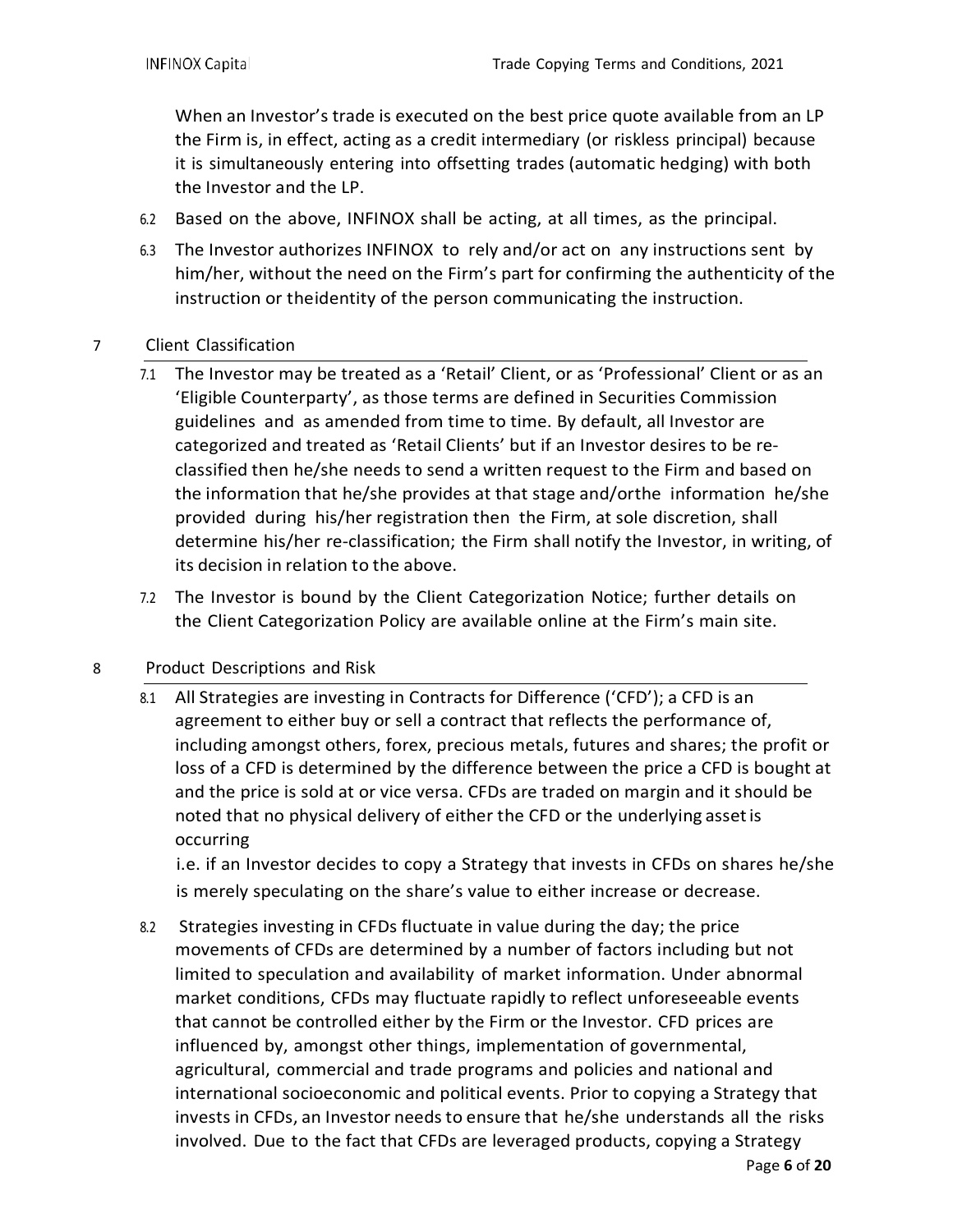When an Investor's trade is executed on the best price quote available from an LP the Firm is, in effect, acting as a credit intermediary (or riskless principal) because it is simultaneously entering into offsetting trades (automatic hedging) with both the Investor and the LP.

- 6.2 Based on the above, INFINOX shall be acting, at all times, as the principal.
- 6.3 The Investor authorizes INFINOX to rely and/or act on any instructions sent by him/her, without the need on the Firm's part for confirming the authenticity of the instruction or theidentity of the person communicating the instruction.
- 7 Client Classification
	- 7.1 The Investor may be treated as a 'Retail' Client, or as 'Professional' Client or as an 'Eligible Counterparty', as those terms are defined in Securities Commission guidelines and as amended from time to time. By default, all Investor are categorized and treated as 'Retail Clients' but if an Investor desires to be reclassified then he/she needs to send a written request to the Firm and based on the information that he/she provides at that stage and/orthe information he/she provided during his/her registration then the Firm, at sole discretion, shall determine his/her re-classification; the Firm shall notify the Investor, in writing, of its decision in relation to the above.
	- 7.2 The Investor is bound by the Client Categorization Notice; further details on the Client Categorization Policy are available online at the Firm's main site.

# 8 Product Descriptions and Risk

8.1 All Strategies are investing in Contracts for Difference ('CFD'); a CFD is an agreement to either buy or sell a contract that reflects the performance of, including amongst others, forex, precious metals, futures and shares; the profit or loss of a CFD is determined by the difference between the price a CFD is bought at and the price is sold at or vice versa. CFDs are traded on margin and it should be noted that no physical delivery of either the CFD or the underlying assetis occurring

i.e. if an Investor decides to copy a Strategy that invests in CFDs on shares he/she is merely speculating on the share's value to either increase or decrease.

8.2 Strategies investing in CFDs fluctuate in value during the day; the price movements of CFDs are determined by a number of factors including but not limited to speculation and availability of market information. Under abnormal market conditions, CFDs may fluctuate rapidly to reflect unforeseeable events that cannot be controlled either by the Firm or the Investor. CFD prices are influenced by, amongst other things, implementation of governmental, agricultural, commercial and trade programs and policies and national and international socioeconomic and political events. Prior to copying a Strategy that invests in CFDs, an Investor needs to ensure that he/she understands all the risks involved. Due to the fact that CFDs are leveraged products, copying a Strategy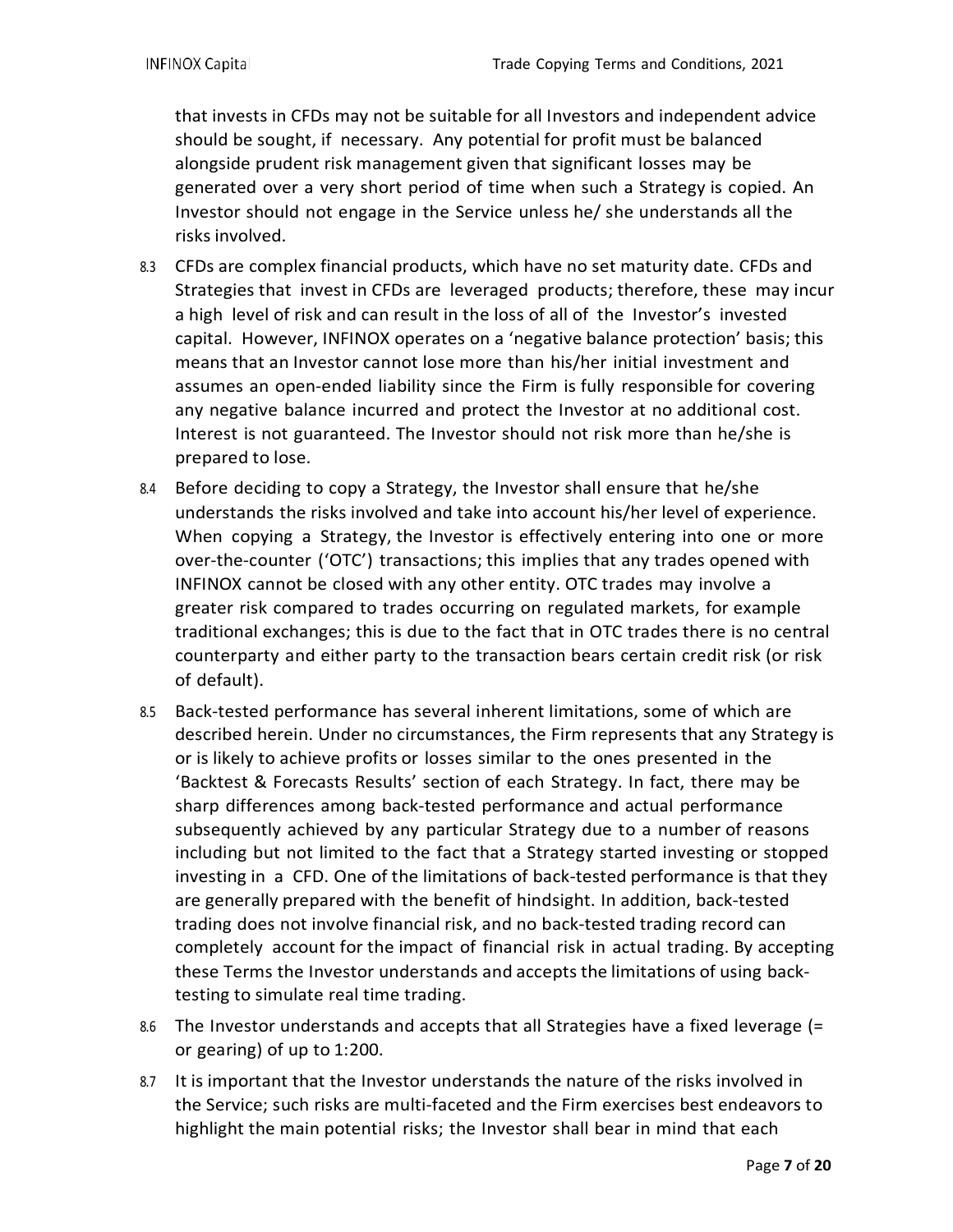that invests in CFDs may not be suitable for all Investors and independent advice should be sought, if necessary. Any potential for profit must be balanced alongside prudent risk management given that significant losses may be generated over a very short period of time when such a Strategy is copied. An Investor should not engage in the Service unless he/ she understands all the risks involved.

- 8.3 CFDs are complex financial products, which have no set maturity date. CFDs and Strategies that invest in CFDs are leveraged products; therefore, these may incur a high level of risk and can result in the loss of all of the Investor's invested capital. However, INFINOX operates on a 'negative balance protection' basis; this means that an Investor cannot lose more than his/her initial investment and assumes an open-ended liability since the Firm is fully responsible for covering any negative balance incurred and protect the Investor at no additional cost. Interest is not guaranteed. The Investor should not risk more than he/she is prepared to lose.
- 8.4 Before deciding to copy a Strategy, the Investor shall ensure that he/she understands the risks involved and take into account his/her level of experience. When copying a Strategy, the Investor is effectively entering into one or more over-the-counter ('OTC') transactions; this implies that any trades opened with INFINOX cannot be closed with any other entity. OTC trades may involve a greater risk compared to trades occurring on regulated markets, for example traditional exchanges; this is due to the fact that in OTC trades there is no central counterparty and either party to the transaction bears certain credit risk (or risk of default).
- 8.5 Back-tested performance has several inherent limitations, some of which are described herein. Under no circumstances, the Firm represents that any Strategy is or is likely to achieve profits or losses similar to the ones presented in the 'Backtest & Forecasts Results' section of each Strategy. In fact, there may be sharp differences among back-tested performance and actual performance subsequently achieved by any particular Strategy due to a number of reasons including but not limited to the fact that a Strategy started investing or stopped investing in a CFD. One of the limitations of back-tested performance is that they are generally prepared with the benefit of hindsight. In addition, back-tested trading does not involve financial risk, and no back-tested trading record can completely account for the impact of financial risk in actual trading. By accepting these Terms the Investor understands and accepts the limitations of using backtesting to simulate real time trading.
- 8.6 The Investor understands and accepts that all Strategies have a fixed leverage (= or gearing) of up to 1:200.
- 8.7 It is important that the Investor understands the nature of the risks involved in the Service; such risks are multi-faceted and the Firm exercises best endeavors to highlight the main potential risks; the Investor shall bear in mind that each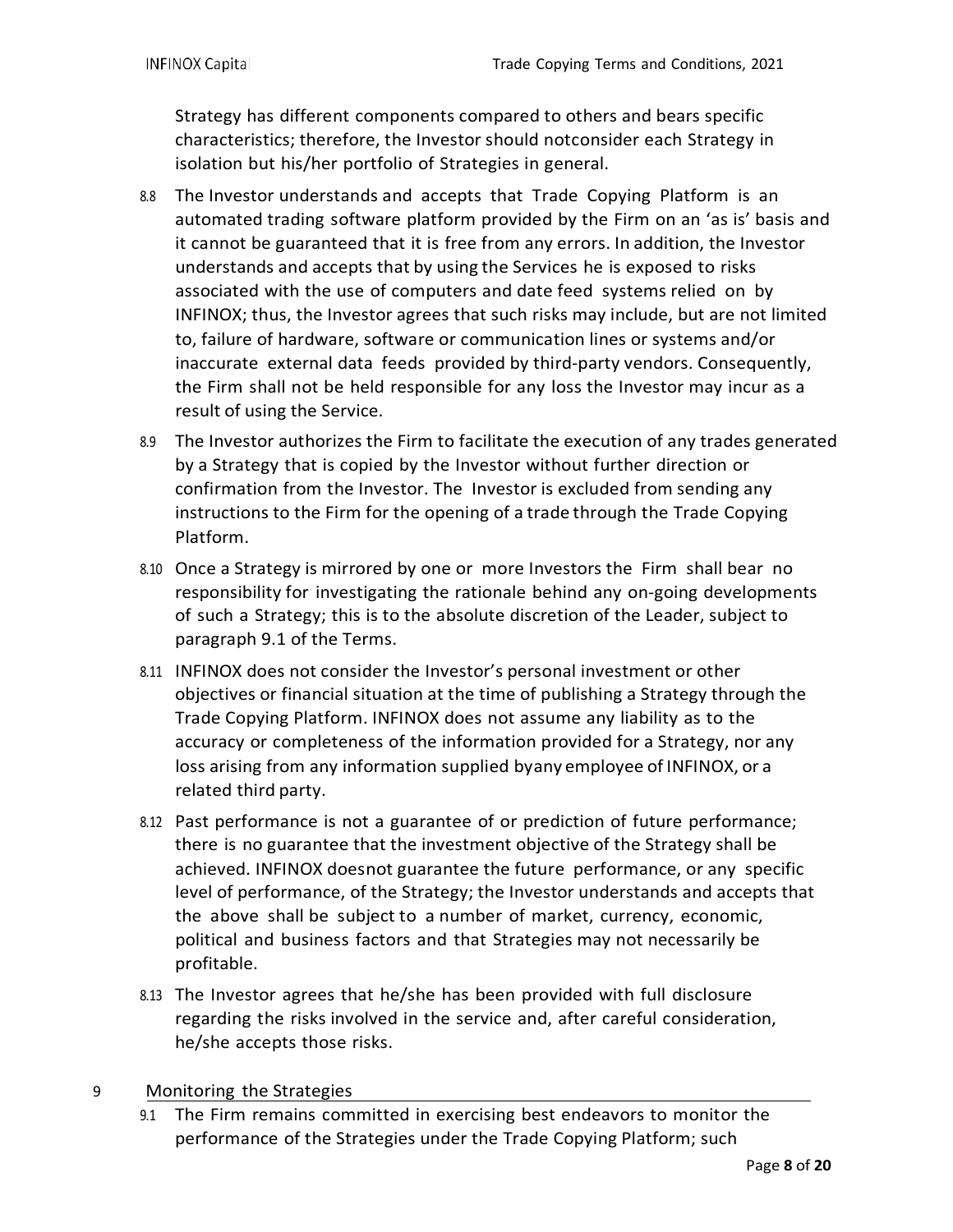Strategy has different components compared to others and bears specific characteristics; therefore, the Investor should notconsider each Strategy in isolation but his/her portfolio of Strategies in general.

- 8.8 The Investor understands and accepts that Trade Copying Platform is an automated trading software platform provided by the Firm on an 'as is' basis and it cannot be guaranteed that it is free from any errors. In addition, the Investor understands and accepts that by using the Services he is exposed to risks associated with the use of computers and date feed systems relied on by INFINOX; thus, the Investor agrees that such risks may include, but are not limited to, failure of hardware, software or communication lines or systems and/or inaccurate external data feeds provided by third-party vendors. Consequently, the Firm shall not be held responsible for any loss the Investor may incur as a result of using the Service.
- 8.9 The Investor authorizes the Firm to facilitate the execution of any trades generated by a Strategy that is copied by the Investor without further direction or confirmation from the Investor. The Investor is excluded from sending any instructions to the Firm for the opening of a trade through the Trade Copying Platform.
- 8.10 Once a Strategy is mirrored by one or more Investors the Firm shall bear no responsibility for investigating the rationale behind any on-going developments of such a Strategy; this is to the absolute discretion of the Leader, subject to paragraph 9.1 of the Terms.
- 8.11 INFINOX does not consider the Investor's personal investment or other objectives or financial situation at the time of publishing a Strategy through the Trade Copying Platform. INFINOX does not assume any liability as to the accuracy or completeness of the information provided for a Strategy, nor any loss arising from any information supplied byany employee of INFINOX, or a related third party.
- 8.12 Past performance is not a guarantee of or prediction of future performance; there is no guarantee that the investment objective of the Strategy shall be achieved. INFINOX doesnot guarantee the future performance, or any specific level of performance, of the Strategy; the Investor understands and accepts that the above shall be subject to a number of market, currency, economic, political and business factors and that Strategies may not necessarily be profitable.
- 8.13 The Investor agrees that he/she has been provided with full disclosure regarding the risks involved in the service and, after careful consideration, he/she accepts those risks.

#### 9 Monitoring the Strategies

9.1 The Firm remains committed in exercising best endeavors to monitor the performance of the Strategies under the Trade Copying Platform; such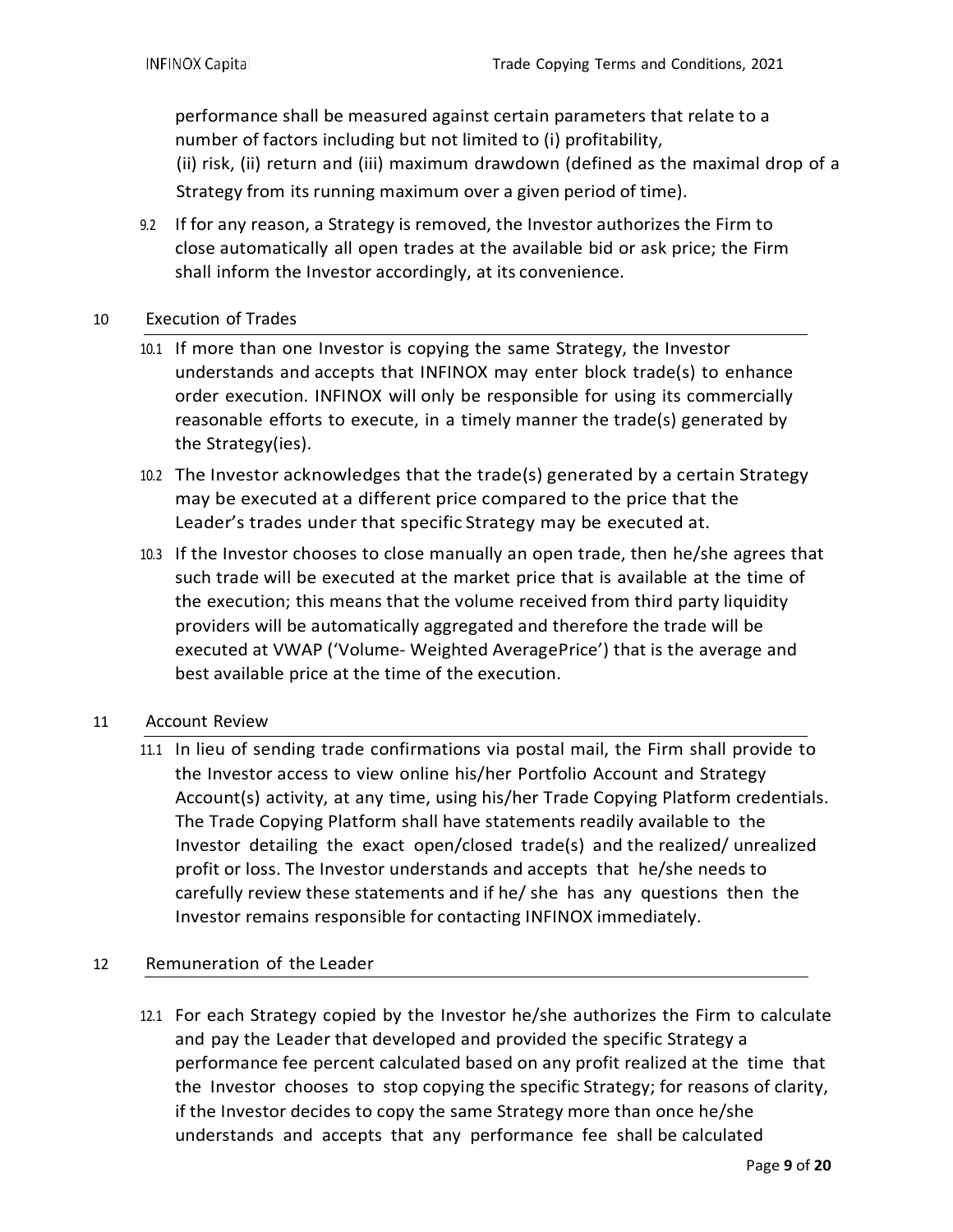performance shall be measured against certain parameters that relate to a number of factors including but not limited to (i) profitability, (ii) risk, (ii) return and (iii) maximum drawdown (defined as the maximal drop of a Strategy from its running maximum over a given period of time).

9.2 If for any reason, a Strategy is removed, the Investor authorizes the Firm to close automatically all open trades at the available bid or ask price; the Firm shall inform the Investor accordingly, at its convenience.

### 10 Execution of Trades

- 10.1 If more than one Investor is copying the same Strategy, the Investor understands and accepts that INFINOX may enter block trade(s) to enhance order execution. INFINOX will only be responsible for using its commercially reasonable efforts to execute, in a timely manner the trade(s) generated by the Strategy(ies).
- 10.2 The Investor acknowledges that the trade(s) generated by a certain Strategy may be executed at a different price compared to the price that the Leader's trades under that specific Strategy may be executed at.
- 10.3 If the Investor chooses to close manually an open trade, then he/she agrees that such trade will be executed at the market price that is available at the time of the execution; this means that the volume received from third party liquidity providers will be automatically aggregated and therefore the trade will be executed at VWAP ('Volume- Weighted AveragePrice') that is the average and best available price at the time of the execution.

#### 11 Account Review

11.1 In lieu of sending trade confirmations via postal mail, the Firm shall provide to the Investor access to view online his/her Portfolio Account and Strategy Account(s) activity, at any time, using his/her Trade Copying Platform credentials. The Trade Copying Platform shall have statements readily available to the Investor detailing the exact open/closed trade(s) and the realized/ unrealized profit or loss. The Investor understands and accepts that he/she needs to carefully review these statements and if he/ she has any questions then the Investor remains responsible for contacting INFINOX immediately.

# 12 Remuneration of the Leader

12.1 For each Strategy copied by the Investor he/she authorizes the Firm to calculate and pay the Leader that developed and provided the specific Strategy a performance fee percent calculated based on any profit realized at the time that the Investor chooses to stop copying the specific Strategy; for reasons of clarity, if the Investor decides to copy the same Strategy more than once he/she understands and accepts that any performance fee shall be calculated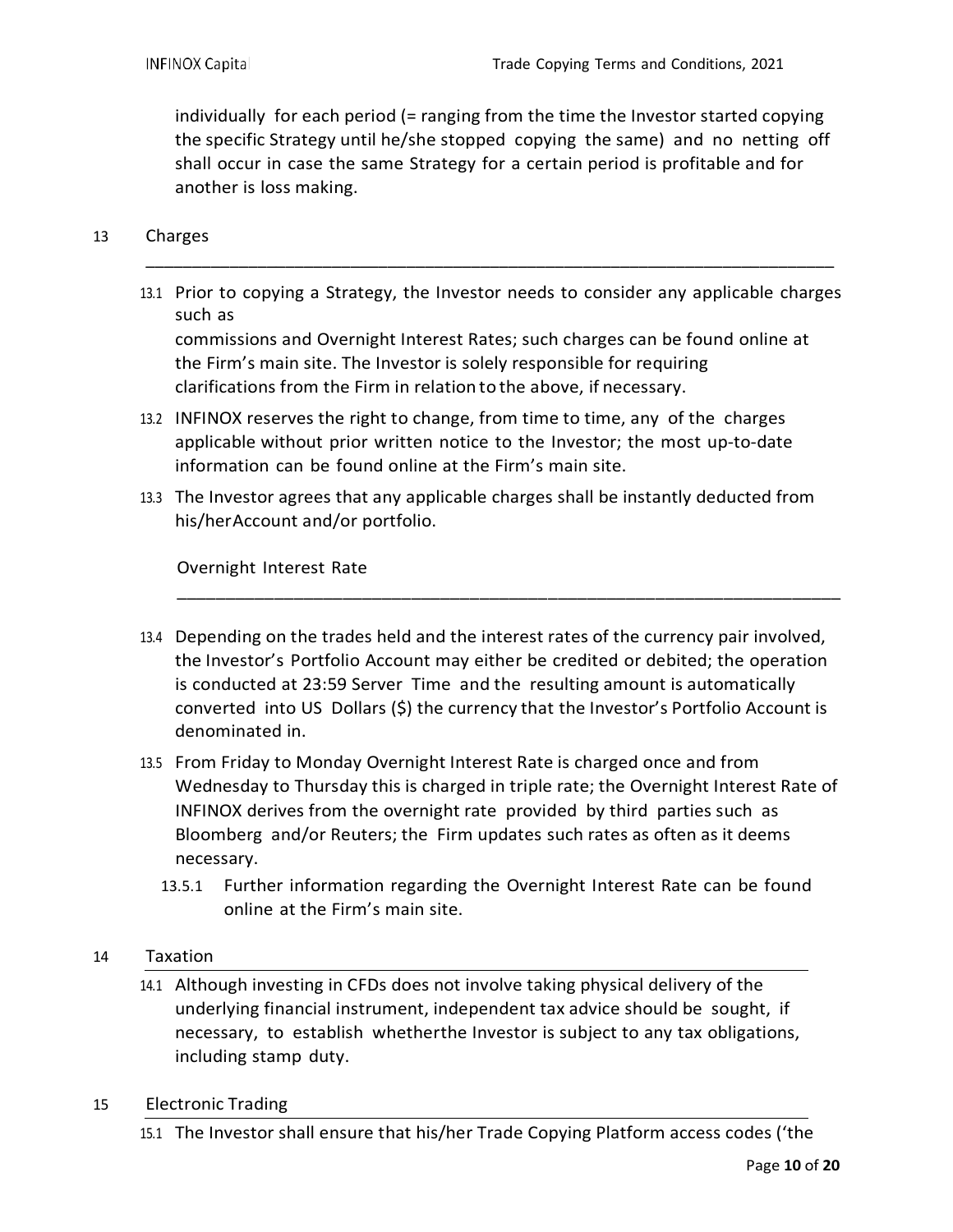individually for each period (= ranging from the time the Investor started copying the specific Strategy until he/she stopped copying the same) and no netting off shall occur in case the same Strategy for a certain period is profitable and for another is loss making.

#### 13 Charges

13.1 Prior to copying a Strategy, the Investor needs to consider any applicable charges such as

\_\_\_\_\_\_\_\_\_\_\_\_\_\_\_\_\_\_\_\_\_\_\_\_\_\_\_\_\_\_\_\_\_\_\_\_\_\_\_\_\_\_\_\_\_\_\_\_\_\_\_\_\_\_\_\_\_\_\_\_\_\_\_\_\_\_\_\_\_\_\_\_\_\_

commissions and Overnight Interest Rates; such charges can be found online at the Firm's main site. The Investor is solely responsible for requiring clarifications from the Firm in relation to the above, if necessary.

- 13.2 INFINOX reserves the right to change, from time to time, any of the charges applicable without prior written notice to the Investor; the most up-to-date information can be found online at the Firm's main site.
- 13.3 The Investor agrees that any applicable charges shall be instantly deducted from his/herAccount and/or portfolio.

Overnight Interest Rate

13.4 Depending on the trades held and the interest rates of the currency pair involved, the Investor's Portfolio Account may either be credited or debited; the operation is conducted at 23:59 Server Time and the resulting amount is automatically converted into US Dollars (\$) the currency that the Investor's Portfolio Account is denominated in.

\_\_\_\_\_\_\_\_\_\_\_\_\_\_\_\_\_\_\_\_\_\_\_\_\_\_\_\_\_\_\_\_\_\_\_\_\_\_\_\_\_\_\_\_\_\_\_\_\_\_\_\_\_\_\_\_\_\_\_\_\_\_\_\_\_\_\_\_

- 13.5 From Friday to Monday Overnight Interest Rate is charged once and from Wednesday to Thursday this is charged in triple rate; the Overnight Interest Rate of INFINOX derives from the overnight rate provided by third parties such as Bloomberg and/or Reuters; the Firm updates such rates as often as it deems necessary.
	- 13.5.1 Further information regarding the Overnight Interest Rate can be found online at the Firm's main site.

#### 14 Taxation

- 14.1 Although investing in CFDs does not involve taking physical delivery of the underlying financial instrument, independent tax advice should be sought, if necessary, to establish whetherthe Investor is subject to any tax obligations, including stamp duty.
- 15 Electronic Trading
	- 15.1 The Investor shall ensure that his/her Trade Copying Platform access codes ('the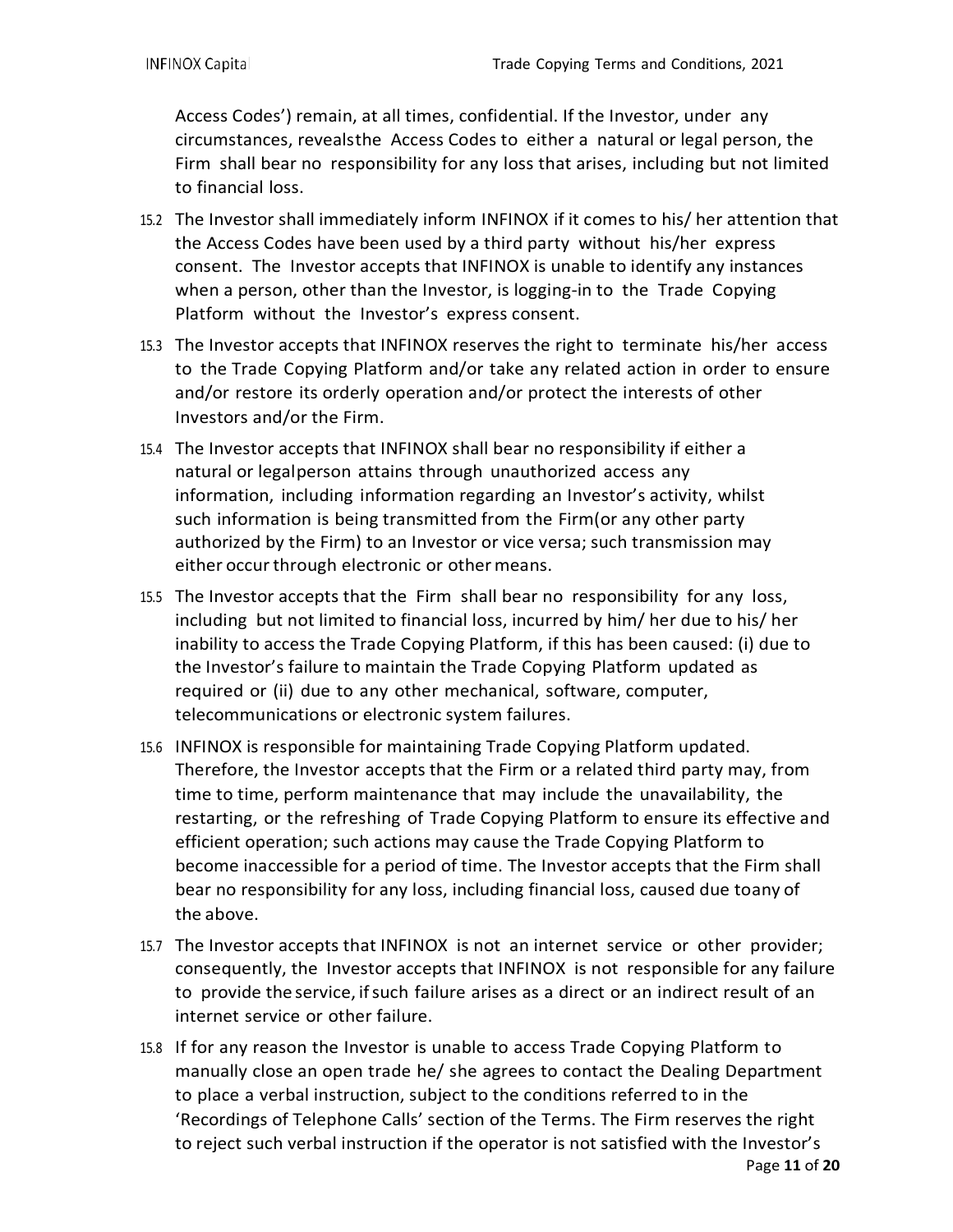Access Codes') remain, at all times, confidential. If the Investor, under any circumstances, revealsthe Access Codes to either a natural or legal person, the Firm shall bear no responsibility for any loss that arises, including but not limited to financial loss.

- 15.2 The Investor shall immediately inform INFINOX if it comes to his/ her attention that the Access Codes have been used by a third party without his/her express consent. The Investor accepts that INFINOX is unable to identify any instances when a person, other than the Investor, is logging-in to the Trade Copying Platform without the Investor's express consent.
- 15.3 The Investor accepts that INFINOX reserves the right to terminate his/her access to the Trade Copying Platform and/or take any related action in order to ensure and/or restore its orderly operation and/or protect the interests of other Investors and/or the Firm.
- 15.4 The Investor accepts that INFINOX shall bear no responsibility if either a natural or legalperson attains through unauthorized access any information, including information regarding an Investor's activity, whilst such information is being transmitted from the Firm(or any other party authorized by the Firm) to an Investor or vice versa; such transmission may either occur through electronic or other means.
- 15.5 The Investor accepts that the Firm shall bear no responsibility for any loss, including but not limited to financial loss, incurred by him/ her due to his/ her inability to access the Trade Copying Platform, if this has been caused: (i) due to the Investor's failure to maintain the Trade Copying Platform updated as required or (ii) due to any other mechanical, software, computer, telecommunications or electronic system failures.
- 15.6 INFINOX is responsible for maintaining Trade Copying Platform updated. Therefore, the Investor accepts that the Firm or a related third party may, from time to time, perform maintenance that may include the unavailability, the restarting, or the refreshing of Trade Copying Platform to ensure its effective and efficient operation; such actions may cause the Trade Copying Platform to become inaccessible for a period of time. The Investor accepts that the Firm shall bear no responsibility for any loss, including financial loss, caused due toany of the above.
- 15.7 The Investor accepts that INFINOX is not an internet service or other provider; consequently, the Investor accepts that INFINOX is not responsible for any failure to provide the service, ifsuch failure arises as a direct or an indirect result of an internet service or other failure.
- 15.8 If for any reason the Investor is unable to access Trade Copying Platform to manually close an open trade he/ she agrees to contact the Dealing Department to place a verbal instruction, subject to the conditions referred to in the 'Recordings of Telephone Calls' section of the Terms. The Firm reserves the right to reject such verbal instruction if the operator is not satisfied with the Investor's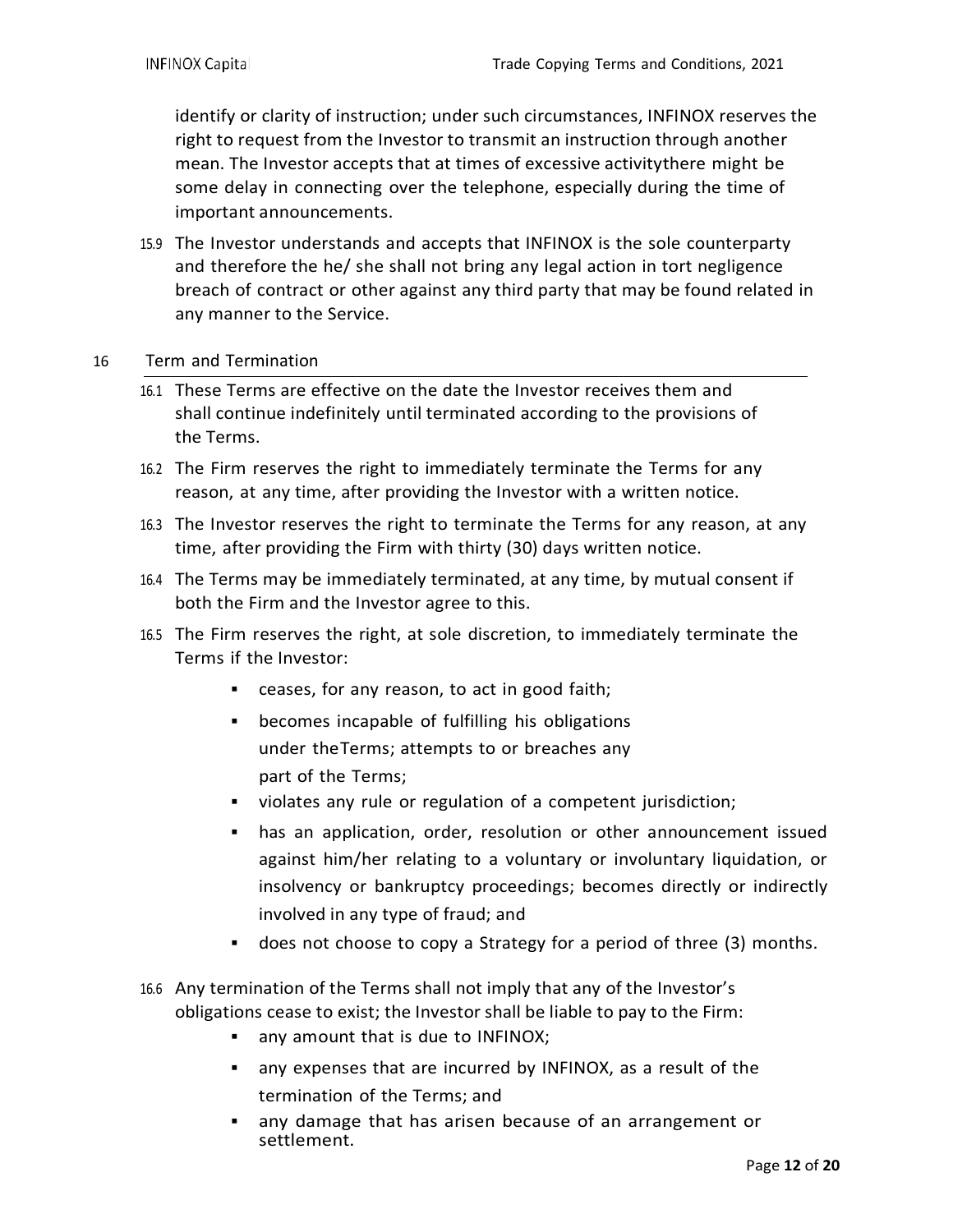identify or clarity of instruction; under such circumstances, INFINOX reserves the right to request from the Investor to transmit an instruction through another mean. The Investor accepts that at times of excessive activitythere might be some delay in connecting over the telephone, especially during the time of important announcements.

15.9 The Investor understands and accepts that INFINOX is the sole counterparty and therefore the he/ she shall not bring any legal action in tort negligence breach of contract or other against any third party that may be found related in any manner to the Service.

#### 16 Term and Termination

- 16.1 These Terms are effective on the date the Investor receives them and shall continue indefinitely until terminated according to the provisions of the Terms.
- 16.2 The Firm reserves the right to immediately terminate the Terms for any reason, at any time, after providing the Investor with a written notice.
- 16.3 The Investor reserves the right to terminate the Terms for any reason, at any time, after providing the Firm with thirty (30) days written notice.
- 16.4 The Terms may be immediately terminated, at any time, by mutual consent if both the Firm and the Investor agree to this.
- 16.5 The Firm reserves the right, at sole discretion, to immediately terminate the Terms if the Investor:
	- ceases, for any reason, to act in good faith;
	- becomes incapable of fulfilling his obligations under theTerms; attempts to or breaches any part of the Terms;
	- violates any rule or regulation of a competent jurisdiction;
	- has an application, order, resolution or other announcement issued against him/her relating to a voluntary or involuntary liquidation, or insolvency or bankruptcy proceedings; becomes directly or indirectly involved in any type of fraud; and
	- does not choose to copy a Strategy for a period of three (3) months.
- 16.6 Any termination of the Terms shall not imply that any of the Investor's obligations cease to exist; the Investor shall be liable to pay to the Firm:
	- any amount that is due to INFINOX;
	- any expenses that are incurred by INFINOX, as a result of the termination of the Terms; and
	- any damage that has arisen because of an arrangement or settlement.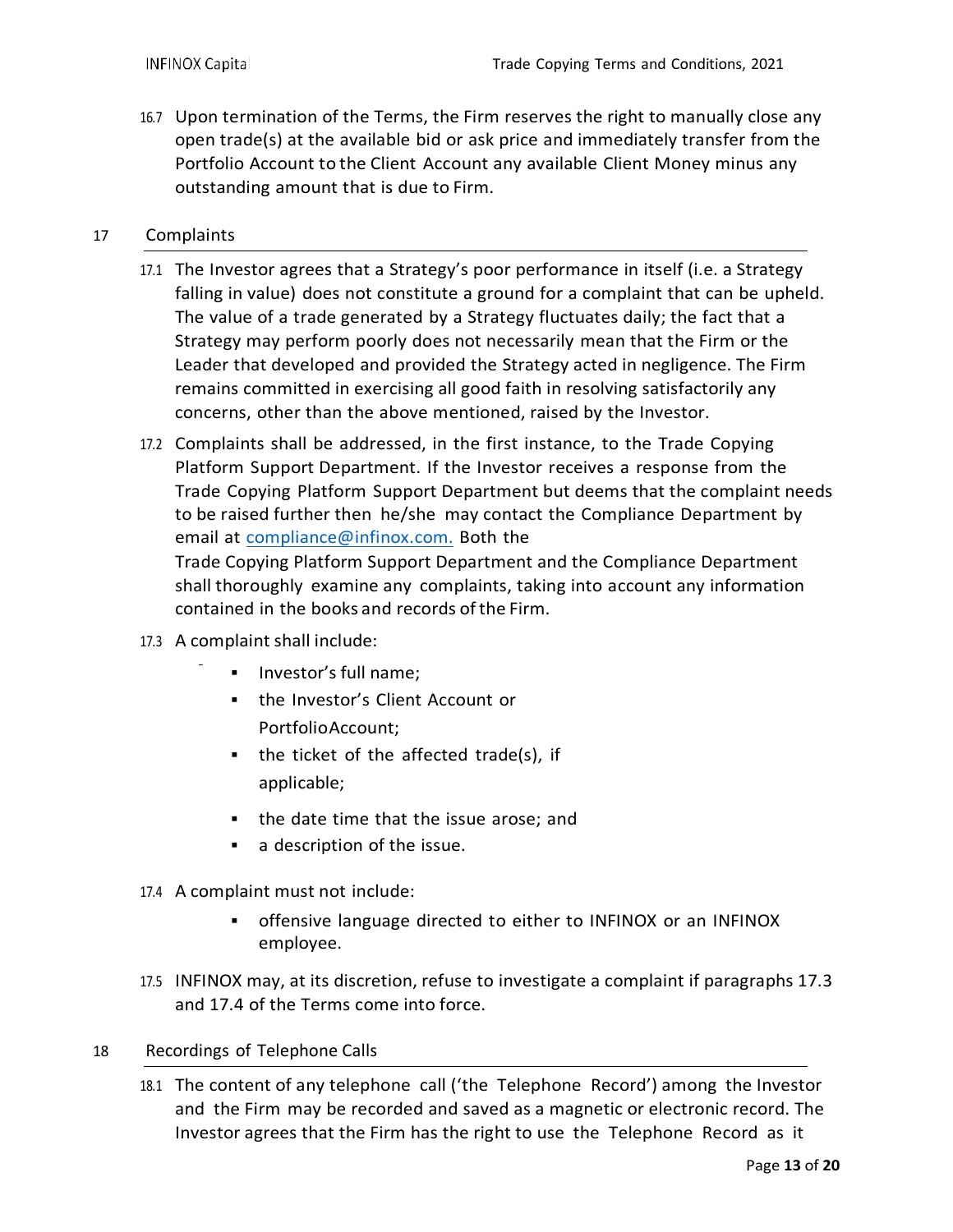16.7 Upon termination of the Terms, the Firm reserves the right to manually close any open trade(s) at the available bid or ask price and immediately transfer from the Portfolio Account to the Client Account any available Client Money minus any outstanding amount that is due to Firm.

#### 17 Complaints

- 17.1 The Investor agrees that a Strategy's poor performance in itself (i.e. a Strategy falling in value) does not constitute a ground for a complaint that can be upheld. The value of a trade generated by a Strategy fluctuates daily; the fact that a Strategy may perform poorly does not necessarily mean that the Firm or the Leader that developed and provided the Strategy acted in negligence. The Firm remains committed in exercising all good faith in resolving satisfactorily any concerns, other than the above mentioned, raised by the Investor.
- 17.2 Complaints shall be addressed, in the first instance, to the Trade Copying Platform Support Department. If the Investor receives a response from the Trade Copying Platform Support Department but deems that the complaint needs to be raised further then he/she may contact the Compliance Department by email at [compliance@infinox.com.](mailto:compliance@infinox.com) Both the Trade Copying Platform Support Department and the Compliance Department shall thoroughly examine any complaints, taking into account any information contained in the books and records ofthe Firm.
- 17.3 A complaint shall include:
	- **Investor's full name:**
	- the Investor's Client Account or PortfolioAccount;
	- $\blacksquare$  the ticket of the affected trade(s), if applicable;
	- the date time that the issue arose; and
	- a description of the issue.
- 17.4 A complaint must not include:
	- offensive language directed to either to INFINOX or an INFINOX employee.
- 17.5 INFINOX may, at its discretion, refuse to investigate a complaint if paragraphs 17.3 and 17.4 of the Terms come into force.

#### 18 Recordings of Telephone Calls

18.1 The content of any telephone call ('the Telephone Record') among the Investor and the Firm may be recorded and saved as a magnetic or electronic record. The Investor agrees that the Firm has the right to use the Telephone Record as it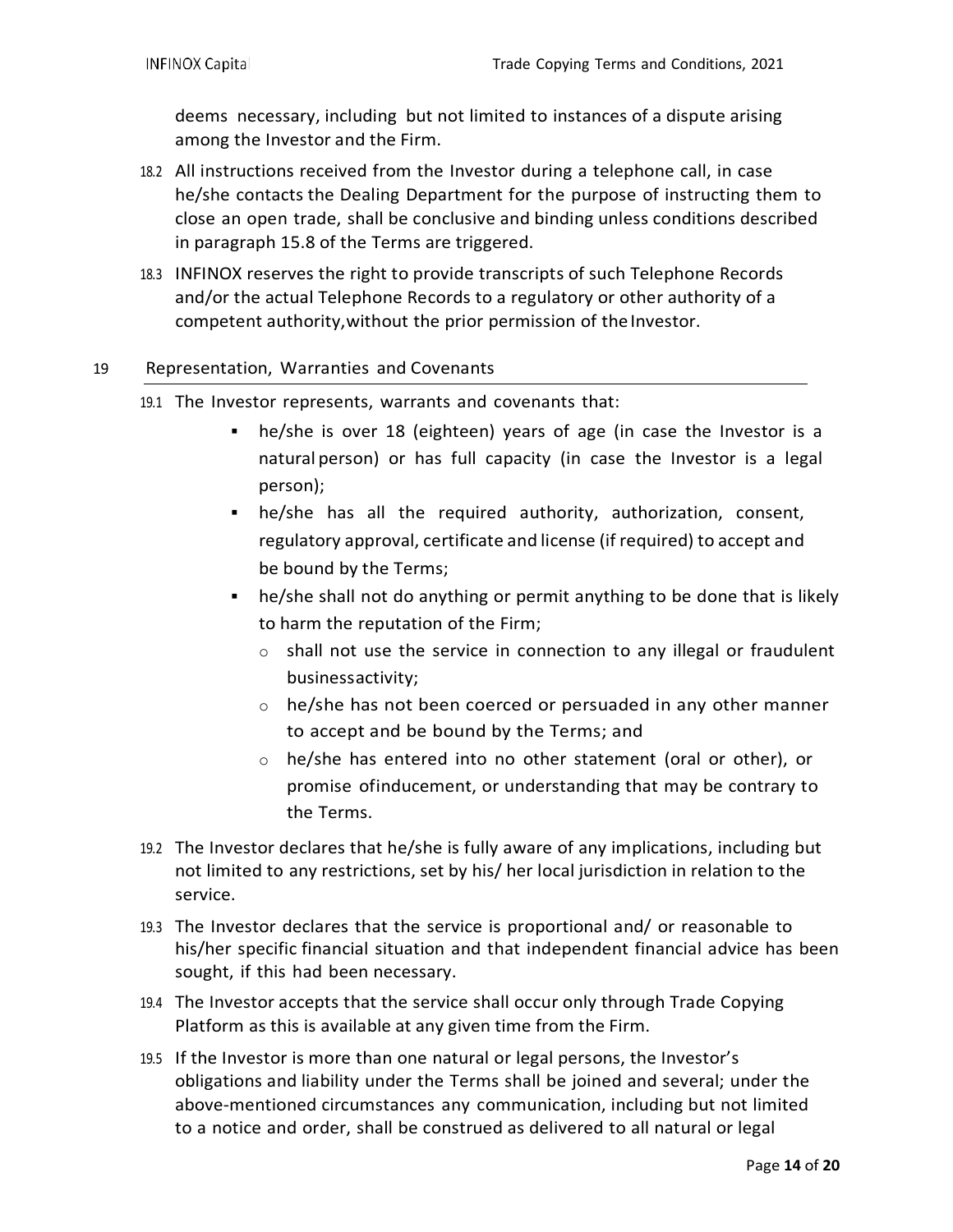deems necessary, including but not limited to instances of a dispute arising among the Investor and the Firm.

- 18.2 All instructions received from the Investor during a telephone call, in case he/she contacts the Dealing Department for the purpose of instructing them to close an open trade, shall be conclusive and binding unless conditions described in paragraph 15.8 of the Terms are triggered.
- 18.3 INFINOX reserves the right to provide transcripts of such Telephone Records and/or the actual Telephone Records to a regulatory or other authority of a competent authority, without the prior permission of the Investor.

#### 19 Representation, Warranties and Covenants

- 19.1 The Investor represents, warrants and covenants that:
	- he/she is over 18 (eighteen) years of age (in case the Investor is a natural person) or has full capacity (in case the Investor is a legal person);
	- he/she has all the required authority, authorization, consent, regulatory approval, certificate and license (if required) to accept and be bound by the Terms;
	- he/she shall not do anything or permit anything to be done that is likely to harm the reputation of the Firm;
		- o shall not use the service in connection to any illegal or fraudulent businessactivity;
		- o he/she has not been coerced or persuaded in any other manner to accept and be bound by the Terms; and
		- o he/she has entered into no other statement (oral or other), or promise ofinducement, or understanding that may be contrary to the Terms.
- 19.2 The Investor declares that he/she is fully aware of any implications, including but not limited to any restrictions, set by his/ her local jurisdiction in relation to the service.
- 19.3 The Investor declares that the service is proportional and/ or reasonable to his/her specific financial situation and that independent financial advice has been sought, if this had been necessary.
- 19.4 The Investor accepts that the service shall occur only through Trade Copying Platform as this is available at any given time from the Firm.
- 19.5 If the Investor is more than one natural or legal persons, the Investor's obligations and liability under the Terms shall be joined and several; under the above-mentioned circumstances any communication, including but not limited to a notice and order, shall be construed as delivered to all natural or legal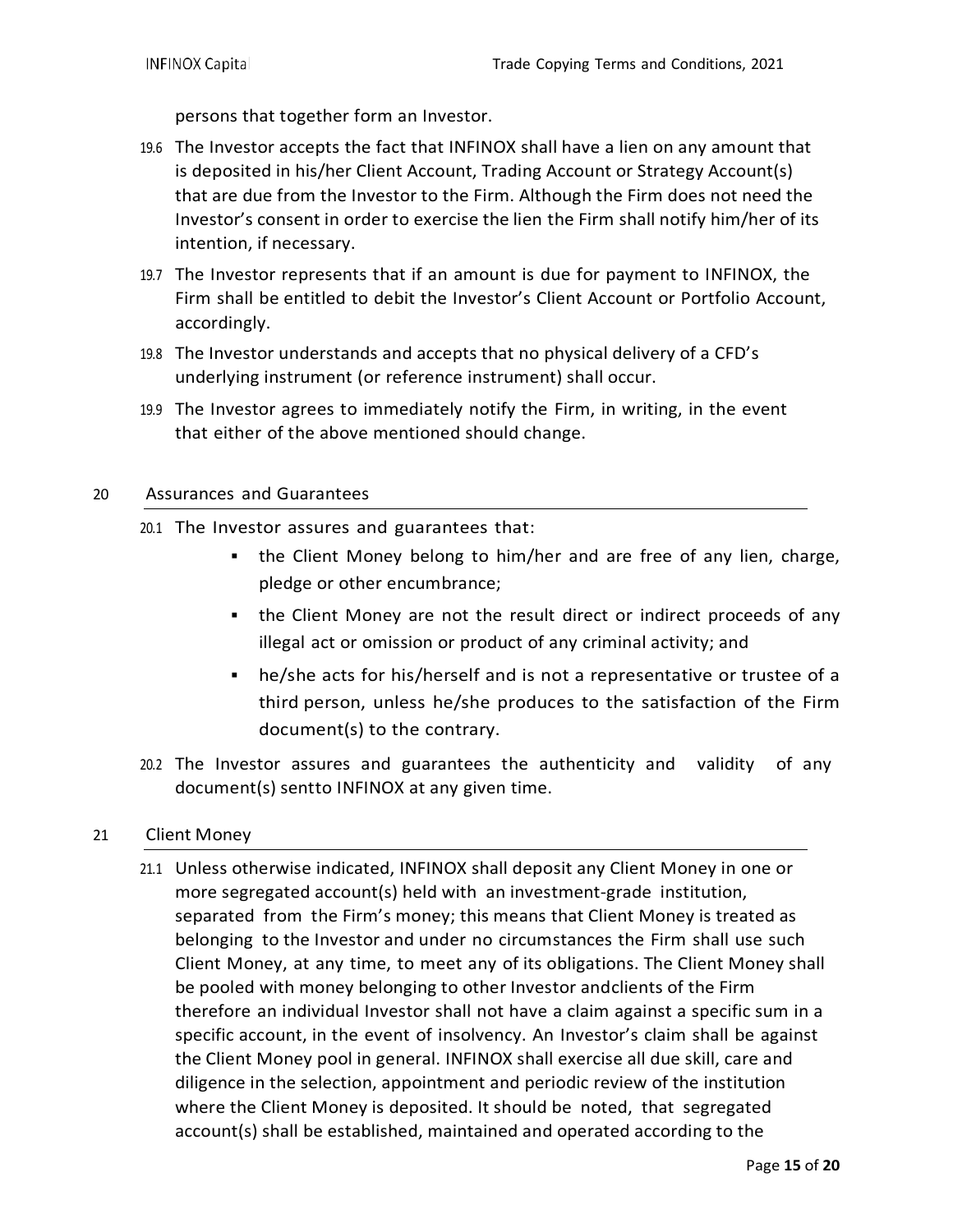persons that together form an Investor.

- 19.6 The Investor accepts the fact that INFINOX shall have a lien on any amount that is deposited in his/her Client Account, Trading Account or Strategy Account(s) that are due from the Investor to the Firm. Although the Firm does not need the Investor's consent in order to exercise the lien the Firm shall notify him/her of its intention, if necessary.
- 19.7 The Investor represents that if an amount is due for payment to INFINOX, the Firm shall be entitled to debit the Investor's Client Account or Portfolio Account, accordingly.
- 19.8 The Investor understands and accepts that no physical delivery of a CFD's underlying instrument (or reference instrument) shall occur.
- 19.9 The Investor agrees to immediately notify the Firm, in writing, in the event that either of the above mentioned should change.

#### 20 Assurances and Guarantees

- 20.1 The Investor assures and guarantees that:
	- the Client Money belong to him/her and are free of any lien, charge, pledge or other encumbrance;
	- the Client Money are not the result direct or indirect proceeds of any illegal act or omission or product of any criminal activity; and
	- he/she acts for his/herself and is not a representative or trustee of a third person, unless he/she produces to the satisfaction of the Firm document(s) to the contrary.
- 20.2 The Investor assures and guarantees the authenticity and validity of any document(s) sentto INFINOX at any given time.

#### 21 Client Money

21.1 Unless otherwise indicated, INFINOX shall deposit any Client Money in one or more segregated account(s) held with an investment-grade institution, separated from the Firm's money; this means that Client Money is treated as belonging to the Investor and under no circumstances the Firm shall use such Client Money, at any time, to meet any of its obligations. The Client Money shall be pooled with money belonging to other Investor andclients of the Firm therefore an individual Investor shall not have a claim against a specific sum in a specific account, in the event of insolvency. An Investor's claim shall be against the Client Money pool in general. INFINOX shall exercise all due skill, care and diligence in the selection, appointment and periodic review of the institution where the Client Money is deposited. It should be noted, that segregated account(s) shall be established, maintained and operated according to the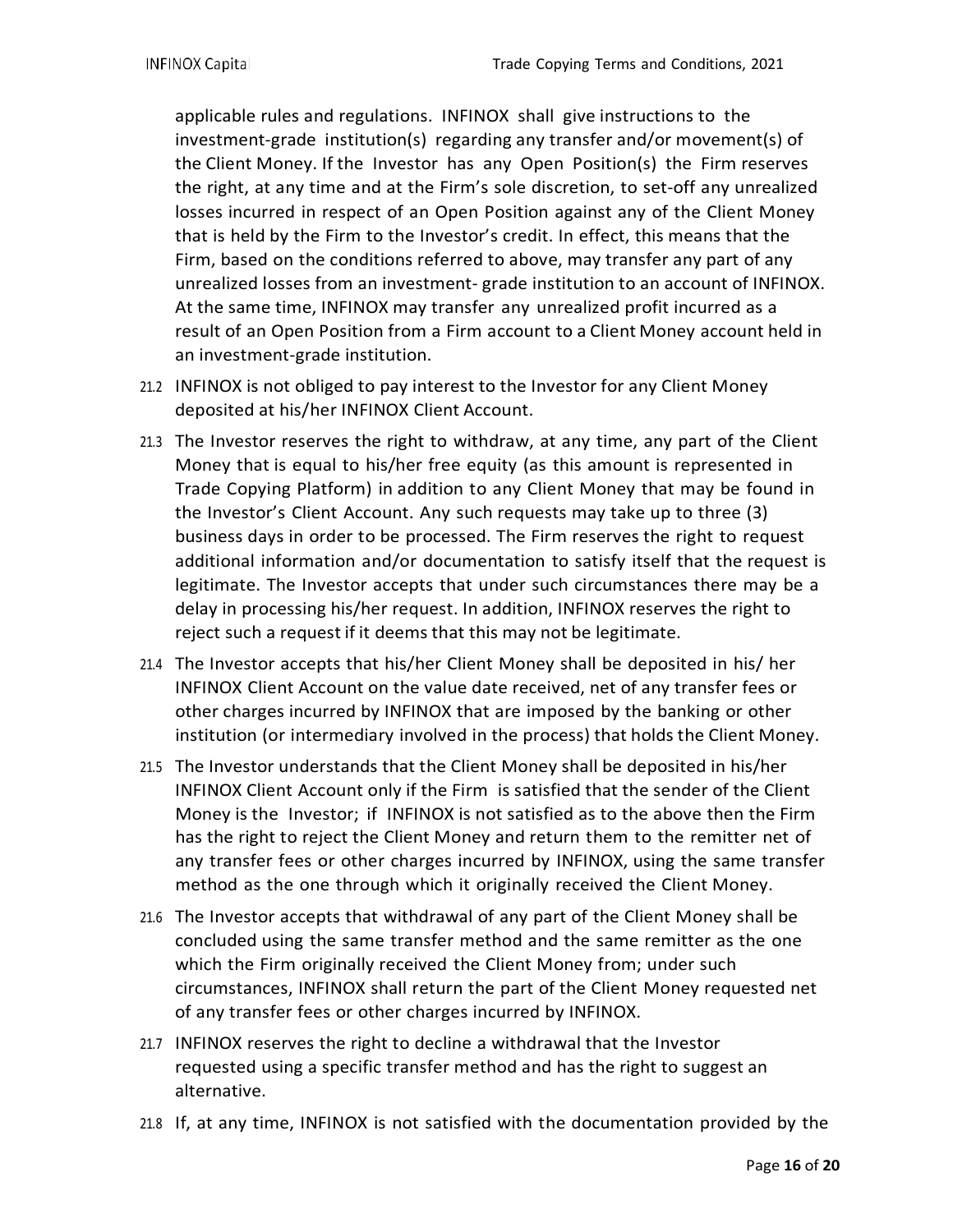applicable rules and regulations. INFINOX shall give instructions to the investment-grade institution(s) regarding any transfer and/or movement(s) of the Client Money. If the Investor has any Open Position(s) the Firm reserves the right, at any time and at the Firm's sole discretion, to set-off any unrealized losses incurred in respect of an Open Position against any of the Client Money that is held by the Firm to the Investor's credit. In effect, this means that the Firm, based on the conditions referred to above, may transfer any part of any unrealized losses from an investment- grade institution to an account of INFINOX. At the same time, INFINOX may transfer any unrealized profit incurred as a result of an Open Position from a Firm account to a Client Money account held in an investment-grade institution.

- 21.2 INFINOX is not obliged to pay interest to the Investor for any Client Money deposited at his/her INFINOX Client Account.
- 21.3 The Investor reserves the right to withdraw, at any time, any part of the Client Money that is equal to his/her free equity (as this amount is represented in Trade Copying Platform) in addition to any Client Money that may be found in the Investor's Client Account. Any such requests may take up to three (3) business days in order to be processed. The Firm reserves the right to request additional information and/or documentation to satisfy itself that the request is legitimate. The Investor accepts that under such circumstances there may be a delay in processing his/her request. In addition, INFINOX reserves the right to reject such a request if it deems that this may not be legitimate.
- 21.4 The Investor accepts that his/her Client Money shall be deposited in his/ her INFINOX Client Account on the value date received, net of any transfer fees or other charges incurred by INFINOX that are imposed by the banking or other institution (or intermediary involved in the process) that holds the Client Money.
- 21.5 The Investor understands that the Client Money shall be deposited in his/her INFINOX Client Account only if the Firm is satisfied that the sender of the Client Money is the Investor; if INFINOX is not satisfied as to the above then the Firm has the right to reject the Client Money and return them to the remitter net of any transfer fees or other charges incurred by INFINOX, using the same transfer method as the one through which it originally received the Client Money.
- 21.6 The Investor accepts that withdrawal of any part of the Client Money shall be concluded using the same transfer method and the same remitter as the one which the Firm originally received the Client Money from; under such circumstances, INFINOX shall return the part of the Client Money requested net of any transfer fees or other charges incurred by INFINOX.
- 21.7 INFINOX reserves the right to decline a withdrawal that the Investor requested using a specific transfer method and has the right to suggest an alternative.
- 21.8 If, at any time, INFINOX is not satisfied with the documentation provided by the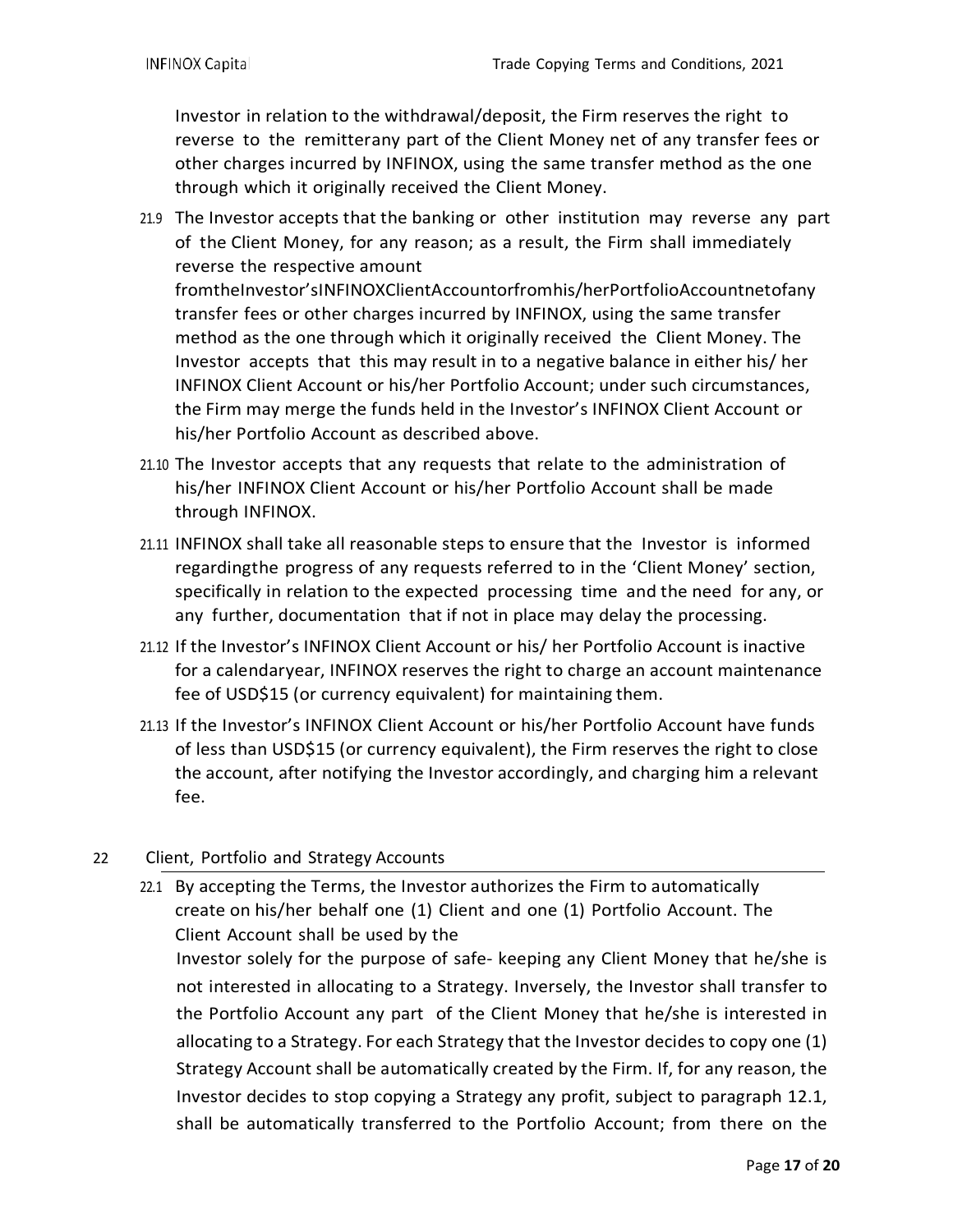Investor in relation to the withdrawal/deposit, the Firm reserves the right to reverse to the remitterany part of the Client Money net of any transfer fees or other charges incurred by INFINOX, using the same transfer method as the one through which it originally received the Client Money.

- 21.9 The Investor accepts that the banking or other institution may reverse any part of the Client Money, for any reason; as a result, the Firm shall immediately reverse the respective amount fromtheInvestor'sINFINOXClientAccountorfromhis/herPortfolioAccountnetofany transfer fees or other charges incurred by INFINOX, using the same transfer method as the one through which it originally received the Client Money. The Investor accepts that this may result in to a negative balance in either his/ her INFINOX Client Account or his/her Portfolio Account; under such circumstances, the Firm may merge the funds held in the Investor's INFINOX Client Account or his/her Portfolio Account as described above.
- 21.10 The Investor accepts that any requests that relate to the administration of his/her INFINOX Client Account or his/her Portfolio Account shall be made through INFINOX.
- 21.11 INFINOX shall take all reasonable steps to ensure that the Investor is informed regardingthe progress of any requests referred to in the 'Client Money' section, specifically in relation to the expected processing time and the need for any, or any further, documentation that if not in place may delay the processing.
- 21.12 If the Investor's INFINOX Client Account or his/ her Portfolio Account is inactive for a calendaryear, INFINOX reserves the right to charge an account maintenance fee of USD\$15 (or currency equivalent) for maintaining them.
- 21.13 If the Investor's INFINOX Client Account or his/her Portfolio Account have funds of less than USD\$15 (or currency equivalent), the Firm reserves the right to close the account, after notifying the Investor accordingly, and charging him a relevant fee.

# 22 Client, Portfolio and Strategy Accounts

22.1 By accepting the Terms, the Investor authorizes the Firm to automatically create on his/her behalf one (1) Client and one (1) Portfolio Account. The Client Account shall be used by the

Investor solely for the purpose of safe- keeping any Client Money that he/she is not interested in allocating to a Strategy. Inversely, the Investor shall transfer to the Portfolio Account any part of the Client Money that he/she is interested in allocating to a Strategy. For each Strategy that the Investor decides to copy one (1) Strategy Account shall be automatically created by the Firm. If, for any reason, the Investor decides to stop copying a Strategy any profit, subject to paragraph 12.1, shall be automatically transferred to the Portfolio Account; from there on the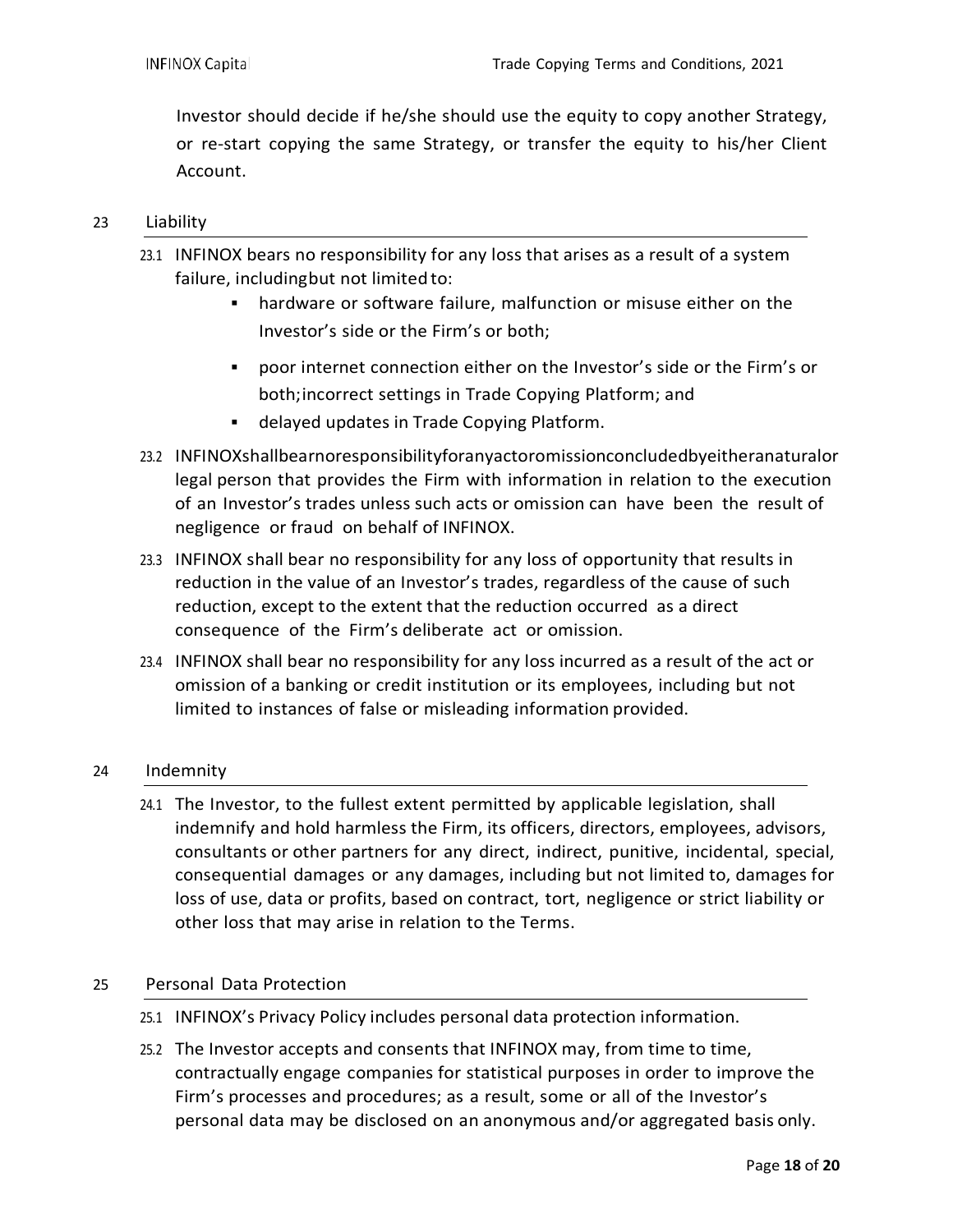Investor should decide if he/she should use the equity to copy another Strategy, or re-start copying the same Strategy, or transfer the equity to his/her Client Account.

#### 23 Liability

- 23.1 INFINOX bears no responsibility for any loss that arises as a result of a system failure, including but not limited to:
	- hardware or software failure, malfunction or misuse either on the Investor's side or the Firm's or both;
	- poor internet connection either on the Investor's side or the Firm's or both;incorrect settings in Trade Copying Platform; and
	- delayed updates in Trade Copying Platform.
- 23.2 INFINOXshallbearnoresponsibilityforanyactoromissionconcludedbyeitheranaturalor legal person that provides the Firm with information in relation to the execution of an Investor's trades unless such acts or omission can have been the result of negligence or fraud on behalf of INFINOX.
- 23.3 INFINOX shall bear no responsibility for any loss of opportunity that results in reduction in the value of an Investor's trades, regardless of the cause of such reduction, except to the extent that the reduction occurred as a direct consequence of the Firm's deliberate act or omission.
- 23.4 INFINOX shall bear no responsibility for any loss incurred as a result of the act or omission of a banking or credit institution or its employees, including but not limited to instances of false or misleading information provided.

#### 24 Indemnity

24.1 The Investor, to the fullest extent permitted by applicable legislation, shall indemnify and hold harmless the Firm, its officers, directors, employees, advisors, consultants or other partners for any direct, indirect, punitive, incidental, special, consequential damages or any damages, including but not limited to, damages for loss of use, data or profits, based on contract, tort, negligence or strict liability or other loss that may arise in relation to the Terms.

# 25 Personal Data Protection

- 25.1 INFINOX's Privacy Policy includes personal data protection information.
- 25.2 The Investor accepts and consents that INFINOX may, from time to time, contractually engage companies for statistical purposes in order to improve the Firm's processes and procedures; as a result, some or all of the Investor's personal data may be disclosed on an anonymous and/or aggregated basis only.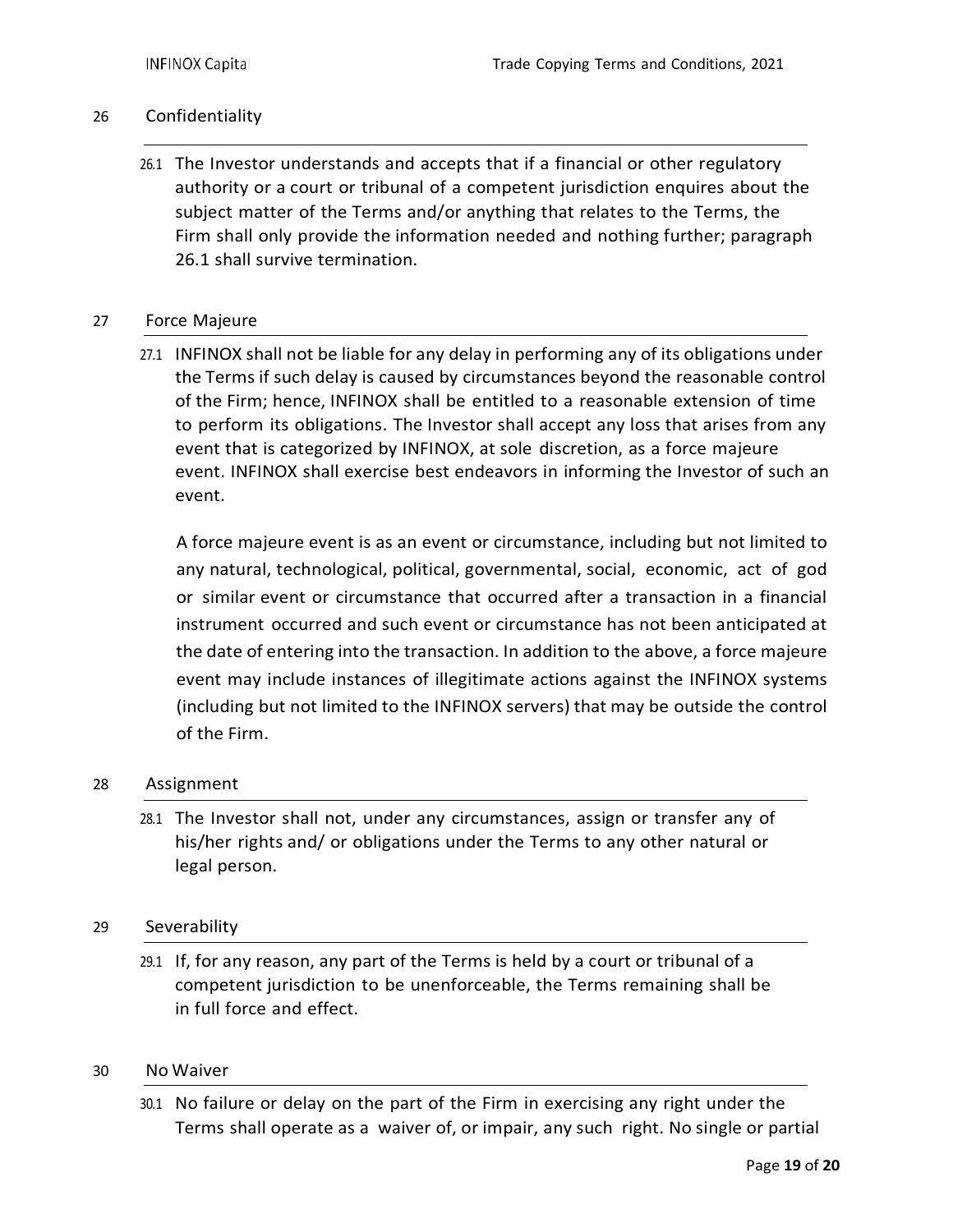### 26 Confidentiality

26.1 The Investor understands and accepts that if a financial or other regulatory authority or a court or tribunal of a competent jurisdiction enquires about the subject matter of the Terms and/or anything that relates to the Terms, the Firm shall only provide the information needed and nothing further; paragraph 26.1 shall survive termination.

#### 27 Force Majeure

27.1 INFINOX shall not be liable for any delay in performing any of its obligations under the Terms if such delay is caused by circumstances beyond the reasonable control of the Firm; hence, INFINOX shall be entitled to a reasonable extension of time to perform its obligations. The Investor shall accept any loss that arises from any event that is categorized by INFINOX, at sole discretion, as a force majeure event. INFINOX shall exercise best endeavors in informing the Investor of such an event.

A force majeure event is as an event or circumstance, including but not limited to any natural, technological, political, governmental, social, economic, act of god or similar event or circumstance that occurred after a transaction in a financial instrument occurred and such event or circumstance has not been anticipated at the date of entering into the transaction. In addition to the above, a force majeure event may include instances of illegitimate actions against the INFINOX systems (including but not limited to the INFINOX servers) that may be outside the control of the Firm.

#### 28 Assignment

28.1 The Investor shall not, under any circumstances, assign or transfer any of his/her rights and/ or obligations under the Terms to any other natural or legal person.

#### 29 Severability

29.1 If, for any reason, any part of the Terms is held by a court or tribunal of a competent jurisdiction to be unenforceable, the Terms remaining shall be in full force and effect.

#### 30 No Waiver

30.1 No failure or delay on the part of the Firm in exercising any right under the Terms shall operate as a waiver of, or impair, any such right. No single or partial